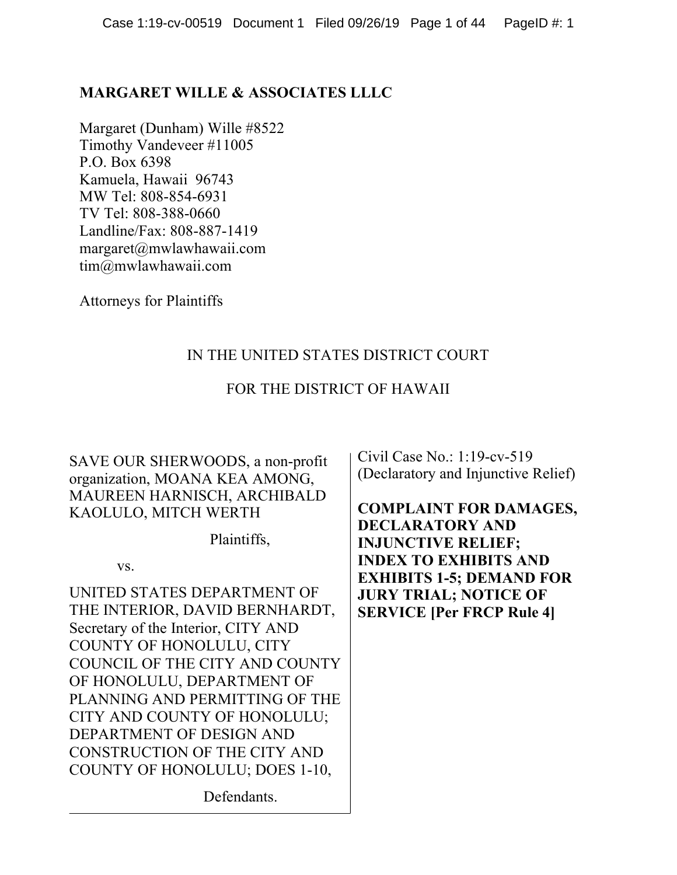## **MARGARET WILLE & ASSOCIATES LLLC**

Margaret (Dunham) Wille #8522 Timothy Vandeveer #11005 P.O. Box 6398 Kamuela, Hawaii 96743 MW Tel: 808-854-6931 TV Tel: 808-388-0660 Landline/Fax: 808-887-1419 margaret@mwlawhawaii.com tim@mwlawhawaii.com

Attorneys for Plaintiffs

# IN THE UNITED STATES DISTRICT COURT

## FOR THE DISTRICT OF HAWAII

SAVE OUR SHERWOODS, a non-profit organization, MOANA KEA AMONG, MAUREEN HARNISCH, ARCHIBALD KAOLULO, MITCH WERTH

Plaintiffs,

vs.

UNITED STATES DEPARTMENT OF THE INTERIOR, DAVID BERNHARDT, Secretary of the Interior, CITY AND COUNTY OF HONOLULU, CITY COUNCIL OF THE CITY AND COUNTY OF HONOLULU, DEPARTMENT OF PLANNING AND PERMITTING OF THE CITY AND COUNTY OF HONOLULU; DEPARTMENT OF DESIGN AND CONSTRUCTION OF THE CITY AND COUNTY OF HONOLULU; DOES 1-10,

Civil Case No.: 1:19-cv-519 (Declaratory and Injunctive Relief)

**COMPLAINT FOR DAMAGES, DECLARATORY AND INJUNCTIVE RELIEF; INDEX TO EXHIBITS AND EXHIBITS 1-5; DEMAND FOR JURY TRIAL; NOTICE OF SERVICE [Per FRCP Rule 4]**

Defendants.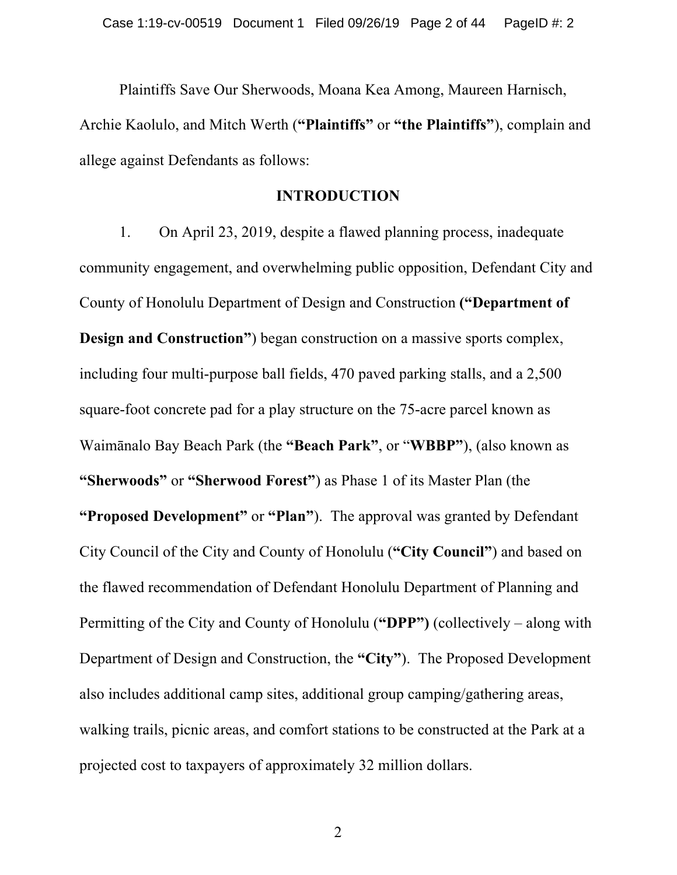Plaintiffs Save Our Sherwoods, Moana Kea Among, Maureen Harnisch, Archie Kaolulo, and Mitch Werth (**"Plaintiffs"** or **"the Plaintiffs"**), complain and allege against Defendants as follows:

#### **INTRODUCTION**

1. On April 23, 2019, despite a flawed planning process, inadequate community engagement, and overwhelming public opposition, Defendant City and County of Honolulu Department of Design and Construction **("Department of Design and Construction"**) began construction on a massive sports complex, including four multi-purpose ball fields, 470 paved parking stalls, and a 2,500 square-foot concrete pad for a play structure on the 75-acre parcel known as Waimānalo Bay Beach Park (the **"Beach Park"**, or "**WBBP"**), (also known as **"Sherwoods"** or **"Sherwood Forest"**) as Phase 1 of its Master Plan (the **"Proposed Development"** or **"Plan"**). The approval was granted by Defendant City Council of the City and County of Honolulu (**"City Council"**) and based on the flawed recommendation of Defendant Honolulu Department of Planning and Permitting of the City and County of Honolulu (**"DPP")** (collectively – along with Department of Design and Construction, the **"City"**). The Proposed Development also includes additional camp sites, additional group camping/gathering areas, walking trails, picnic areas, and comfort stations to be constructed at the Park at a projected cost to taxpayers of approximately 32 million dollars.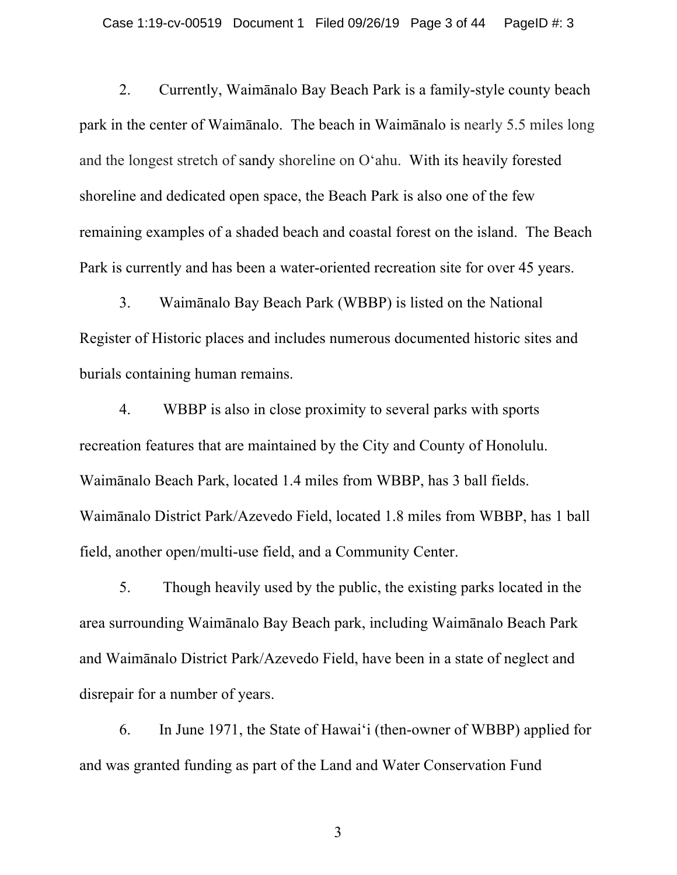2. Currently, Waimānalo Bay Beach Park is a family-style county beach park in the center of Waimānalo. The beach in Waimānalo is nearly 5.5 miles long and the longest stretch of sandy shoreline on Oʻahu. With its heavily forested shoreline and dedicated open space, the Beach Park is also one of the few remaining examples of a shaded beach and coastal forest on the island. The Beach Park is currently and has been a water-oriented recreation site for over 45 years.

3. Waimānalo Bay Beach Park (WBBP) is listed on the National Register of Historic places and includes numerous documented historic sites and burials containing human remains.

4. WBBP is also in close proximity to several parks with sports recreation features that are maintained by the City and County of Honolulu. Waimānalo Beach Park, located 1.4 miles from WBBP, has 3 ball fields. Waimānalo District Park/Azevedo Field, located 1.8 miles from WBBP, has 1 ball field, another open/multi-use field, and a Community Center.

5. Though heavily used by the public, the existing parks located in the area surrounding Waimānalo Bay Beach park, including Waimānalo Beach Park and Waimānalo District Park/Azevedo Field, have been in a state of neglect and disrepair for a number of years.

6. In June 1971, the State of Hawai'i (then-owner of WBBP) applied for and was granted funding as part of the Land and Water Conservation Fund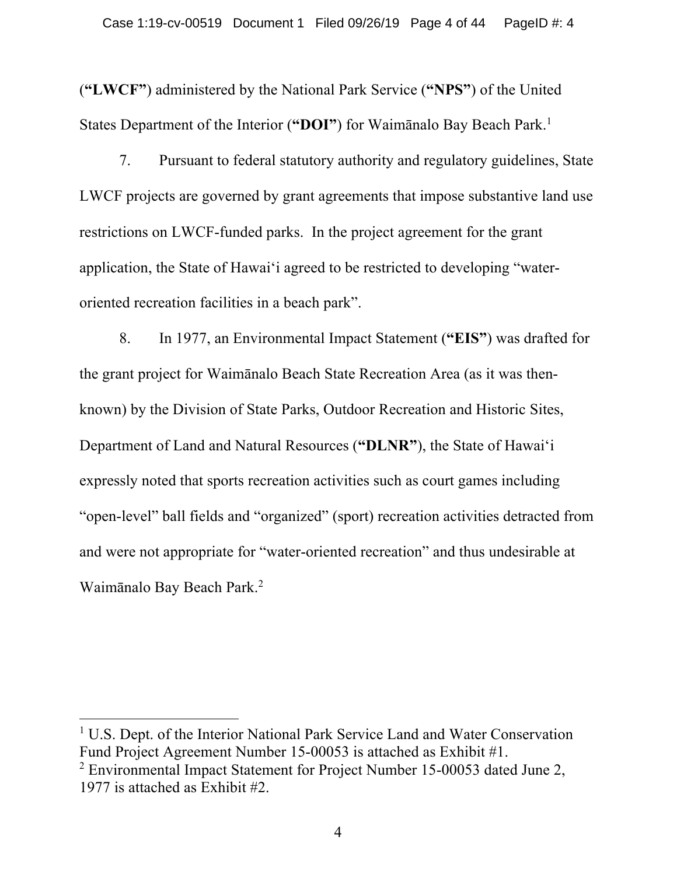(**"LWCF"**) administered by the National Park Service (**"NPS"**) of the United States Department of the Interior (**"DOI"**) for Waimānalo Bay Beach Park. 1

7. Pursuant to federal statutory authority and regulatory guidelines, State LWCF projects are governed by grant agreements that impose substantive land use restrictions on LWCF-funded parks. In the project agreement for the grant application, the State of Hawai'i agreed to be restricted to developing "wateroriented recreation facilities in a beach park".

8. In 1977, an Environmental Impact Statement (**"EIS"**) was drafted for the grant project for Waimānalo Beach State Recreation Area (as it was thenknown) by the Division of State Parks, Outdoor Recreation and Historic Sites, Department of Land and Natural Resources (**"DLNR"**), the State of Hawai'i expressly noted that sports recreation activities such as court games including "open-level" ball fields and "organized" (sport) recreation activities detracted from and were not appropriate for "water-oriented recreation" and thus undesirable at Waimānalo Bay Beach Park.2

<sup>&</sup>lt;sup>1</sup> U.S. Dept. of the Interior National Park Service Land and Water Conservation Fund Project Agreement Number 15-00053 is attached as Exhibit #1.

<sup>&</sup>lt;sup>2</sup> Environmental Impact Statement for Project Number 15-00053 dated June 2, 1977 is attached as Exhibit #2.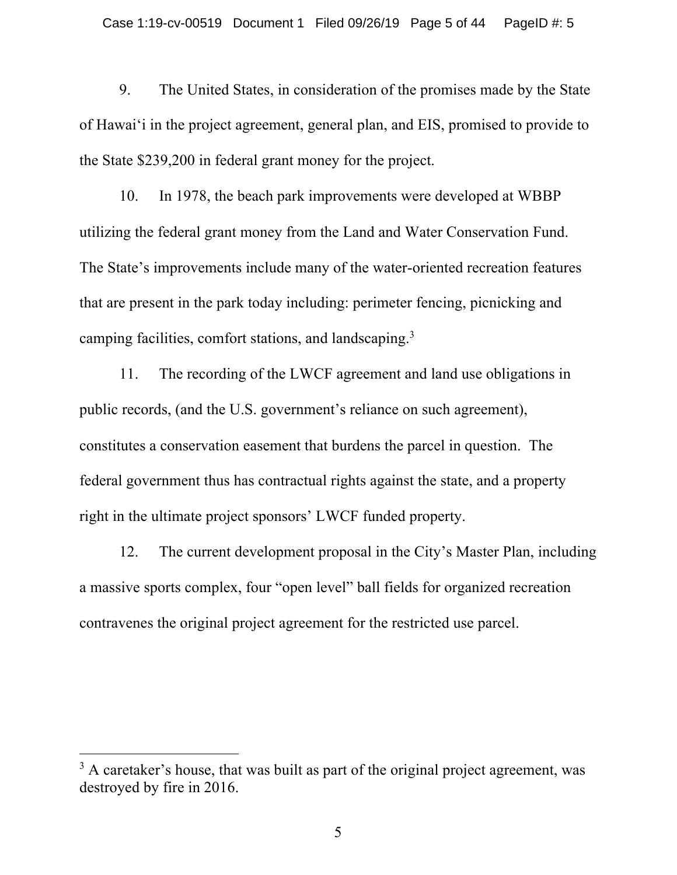9. The United States, in consideration of the promises made by the State of Hawai'i in the project agreement, general plan, and EIS, promised to provide to the State \$239,200 in federal grant money for the project.

10. In 1978, the beach park improvements were developed at WBBP utilizing the federal grant money from the Land and Water Conservation Fund. The State's improvements include many of the water-oriented recreation features that are present in the park today including: perimeter fencing, picnicking and camping facilities, comfort stations, and landscaping.<sup>3</sup>

11. The recording of the LWCF agreement and land use obligations in public records, (and the U.S. government's reliance on such agreement), constitutes a conservation easement that burdens the parcel in question. The federal government thus has contractual rights against the state, and a property right in the ultimate project sponsors' LWCF funded property.

12. The current development proposal in the City's Master Plan, including a massive sports complex, four "open level" ball fields for organized recreation contravenes the original project agreement for the restricted use parcel.

<sup>&</sup>lt;sup>3</sup> A caretaker's house, that was built as part of the original project agreement, was destroyed by fire in 2016.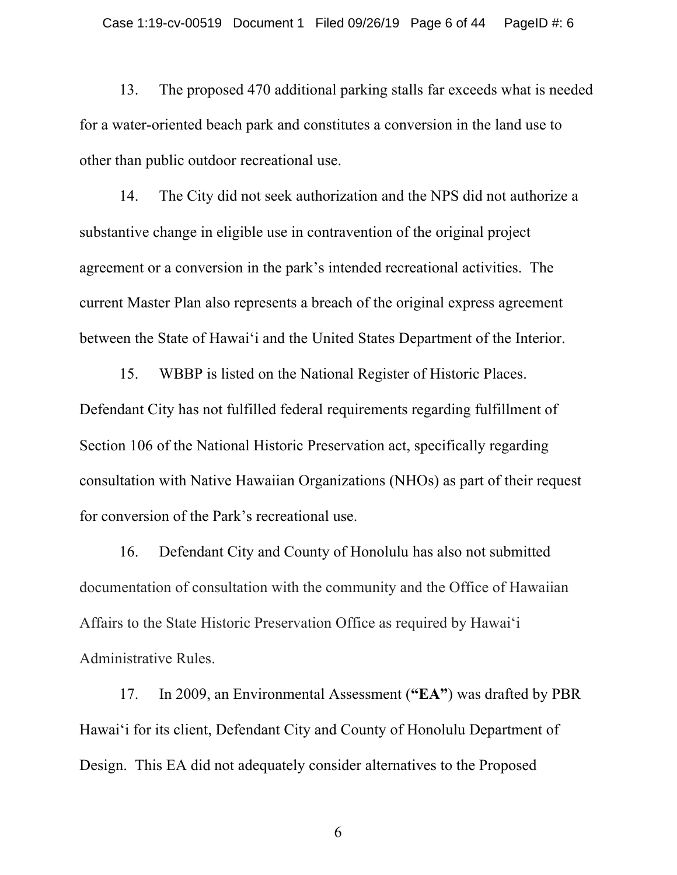13. The proposed 470 additional parking stalls far exceeds what is needed for a water-oriented beach park and constitutes a conversion in the land use to other than public outdoor recreational use.

14. The City did not seek authorization and the NPS did not authorize a substantive change in eligible use in contravention of the original project agreement or a conversion in the park's intended recreational activities. The current Master Plan also represents a breach of the original express agreement between the State of Hawai'i and the United States Department of the Interior.

15. WBBP is listed on the National Register of Historic Places. Defendant City has not fulfilled federal requirements regarding fulfillment of Section 106 of the National Historic Preservation act, specifically regarding consultation with Native Hawaiian Organizations (NHOs) as part of their request for conversion of the Park's recreational use.

16. Defendant City and County of Honolulu has also not submitted documentation of consultation with the community and the Office of Hawaiian Affairs to the State Historic Preservation Office as required by Hawai'i Administrative Rules.

17. In 2009, an Environmental Assessment (**"EA"**) was drafted by PBR Hawai'i for its client, Defendant City and County of Honolulu Department of Design. This EA did not adequately consider alternatives to the Proposed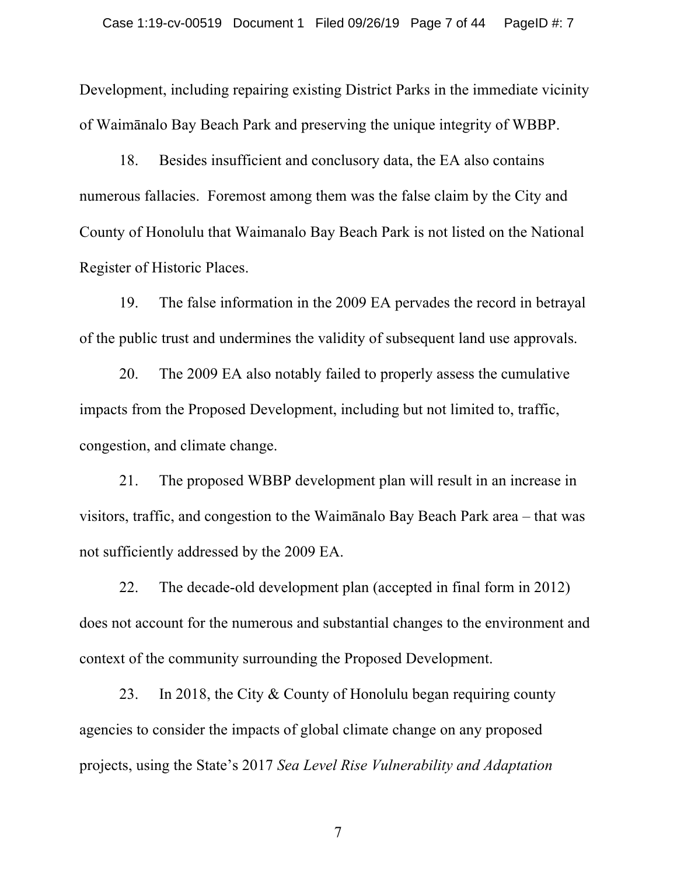Development, including repairing existing District Parks in the immediate vicinity of Waimānalo Bay Beach Park and preserving the unique integrity of WBBP.

18. Besides insufficient and conclusory data, the EA also contains numerous fallacies. Foremost among them was the false claim by the City and County of Honolulu that Waimanalo Bay Beach Park is not listed on the National Register of Historic Places.

19. The false information in the 2009 EA pervades the record in betrayal of the public trust and undermines the validity of subsequent land use approvals.

20. The 2009 EA also notably failed to properly assess the cumulative impacts from the Proposed Development, including but not limited to, traffic, congestion, and climate change.

21. The proposed WBBP development plan will result in an increase in visitors, traffic, and congestion to the Waimānalo Bay Beach Park area – that was not sufficiently addressed by the 2009 EA.

22. The decade-old development plan (accepted in final form in 2012) does not account for the numerous and substantial changes to the environment and context of the community surrounding the Proposed Development.

23. In 2018, the City & County of Honolulu began requiring county agencies to consider the impacts of global climate change on any proposed projects, using the State's 2017 *Sea Level Rise Vulnerability and Adaptation*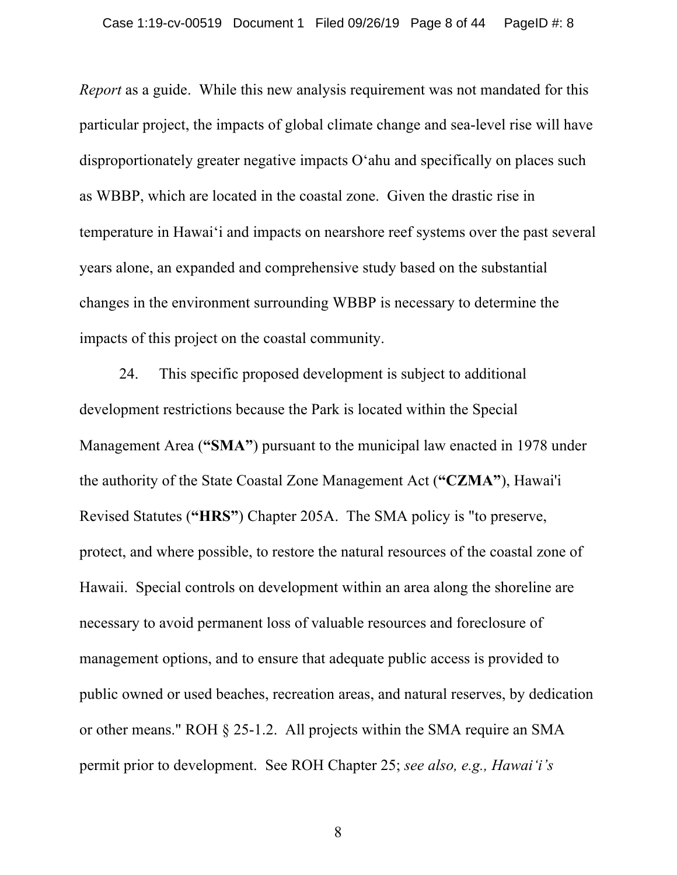*Report* as a guide. While this new analysis requirement was not mandated for this particular project, the impacts of global climate change and sea-level rise will have disproportionately greater negative impacts O'ahu and specifically on places such as WBBP, which are located in the coastal zone. Given the drastic rise in temperature in Hawai'i and impacts on nearshore reef systems over the past several years alone, an expanded and comprehensive study based on the substantial changes in the environment surrounding WBBP is necessary to determine the impacts of this project on the coastal community.

24. This specific proposed development is subject to additional development restrictions because the Park is located within the Special Management Area (**"SMA"**) pursuant to the municipal law enacted in 1978 under the authority of the State Coastal Zone Management Act (**"CZMA"**), Hawai'i Revised Statutes (**"HRS"**) Chapter 205A. The SMA policy is "to preserve, protect, and where possible, to restore the natural resources of the coastal zone of Hawaii. Special controls on development within an area along the shoreline are necessary to avoid permanent loss of valuable resources and foreclosure of management options, and to ensure that adequate public access is provided to public owned or used beaches, recreation areas, and natural reserves, by dedication or other means." ROH § 25-1.2. All projects within the SMA require an SMA permit prior to development. See ROH Chapter 25; *see also, e.g., Hawai'i's*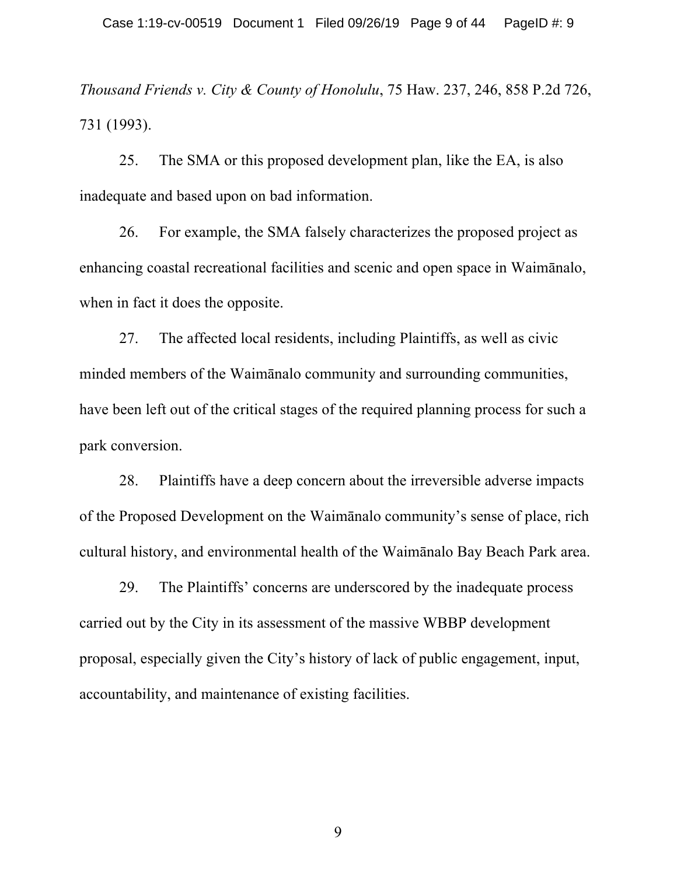*Thousand Friends v. City & County of Honolulu*, 75 Haw. 237, 246, 858 P.2d 726, 731 (1993).

25. The SMA or this proposed development plan, like the EA, is also inadequate and based upon on bad information.

26. For example, the SMA falsely characterizes the proposed project as enhancing coastal recreational facilities and scenic and open space in Waimānalo, when in fact it does the opposite.

27. The affected local residents, including Plaintiffs, as well as civic minded members of the Waimānalo community and surrounding communities, have been left out of the critical stages of the required planning process for such a park conversion.

28. Plaintiffs have a deep concern about the irreversible adverse impacts of the Proposed Development on the Waimānalo community's sense of place, rich cultural history, and environmental health of the Waimānalo Bay Beach Park area.

29. The Plaintiffs' concerns are underscored by the inadequate process carried out by the City in its assessment of the massive WBBP development proposal, especially given the City's history of lack of public engagement, input, accountability, and maintenance of existing facilities.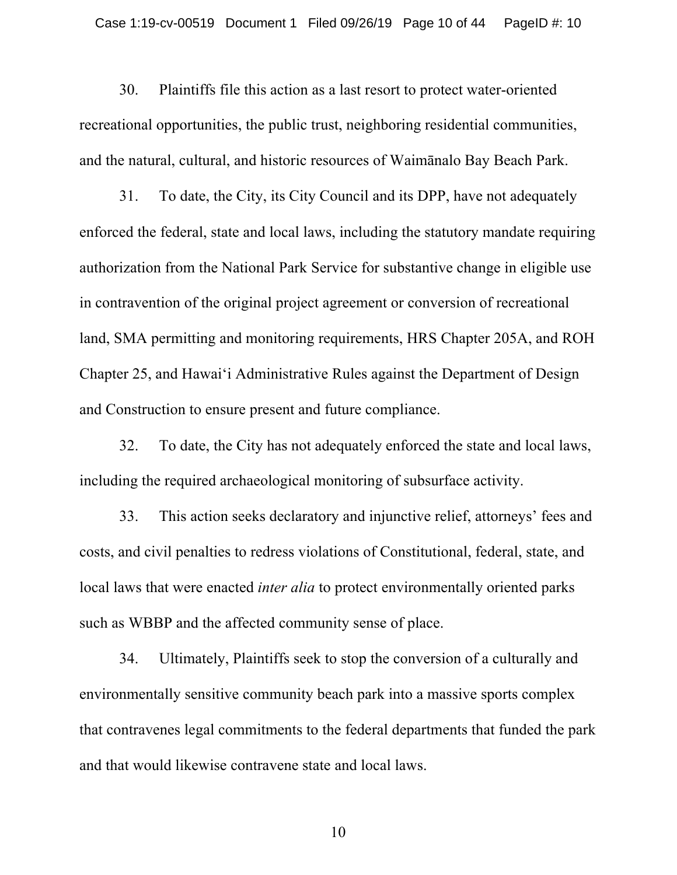30. Plaintiffs file this action as a last resort to protect water-oriented recreational opportunities, the public trust, neighboring residential communities, and the natural, cultural, and historic resources of Waimānalo Bay Beach Park.

31. To date, the City, its City Council and its DPP, have not adequately enforced the federal, state and local laws, including the statutory mandate requiring authorization from the National Park Service for substantive change in eligible use in contravention of the original project agreement or conversion of recreational land, SMA permitting and monitoring requirements, HRS Chapter 205A, and ROH Chapter 25, and Hawai'i Administrative Rules against the Department of Design and Construction to ensure present and future compliance.

32. To date, the City has not adequately enforced the state and local laws, including the required archaeological monitoring of subsurface activity.

33. This action seeks declaratory and injunctive relief, attorneys' fees and costs, and civil penalties to redress violations of Constitutional, federal, state, and local laws that were enacted *inter alia* to protect environmentally oriented parks such as WBBP and the affected community sense of place.

34. Ultimately, Plaintiffs seek to stop the conversion of a culturally and environmentally sensitive community beach park into a massive sports complex that contravenes legal commitments to the federal departments that funded the park and that would likewise contravene state and local laws.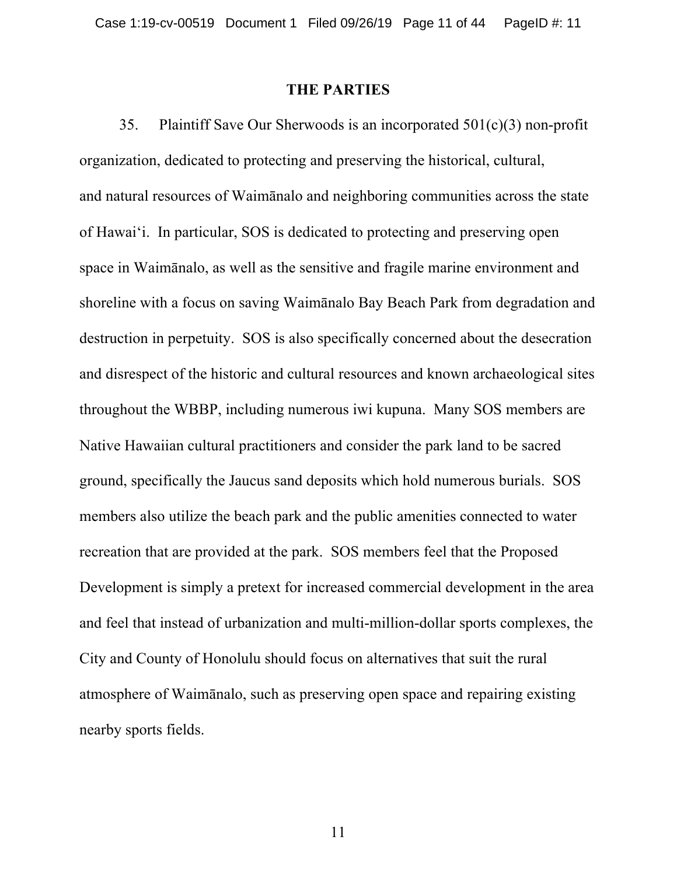#### **THE PARTIES**

35. Plaintiff Save Our Sherwoods is an incorporated 501(c)(3) non-profit organization, dedicated to protecting and preserving the historical, cultural, and natural resources of Waimānalo and neighboring communities across the state of Hawai'i. In particular, SOS is dedicated to protecting and preserving open space in Waimānalo, as well as the sensitive and fragile marine environment and shoreline with a focus on saving Waimānalo Bay Beach Park from degradation and destruction in perpetuity. SOS is also specifically concerned about the desecration and disrespect of the historic and cultural resources and known archaeological sites throughout the WBBP, including numerous iwi kupuna. Many SOS members are Native Hawaiian cultural practitioners and consider the park land to be sacred ground, specifically the Jaucus sand deposits which hold numerous burials. SOS members also utilize the beach park and the public amenities connected to water recreation that are provided at the park. SOS members feel that the Proposed Development is simply a pretext for increased commercial development in the area and feel that instead of urbanization and multi-million-dollar sports complexes, the City and County of Honolulu should focus on alternatives that suit the rural atmosphere of Waimānalo, such as preserving open space and repairing existing nearby sports fields.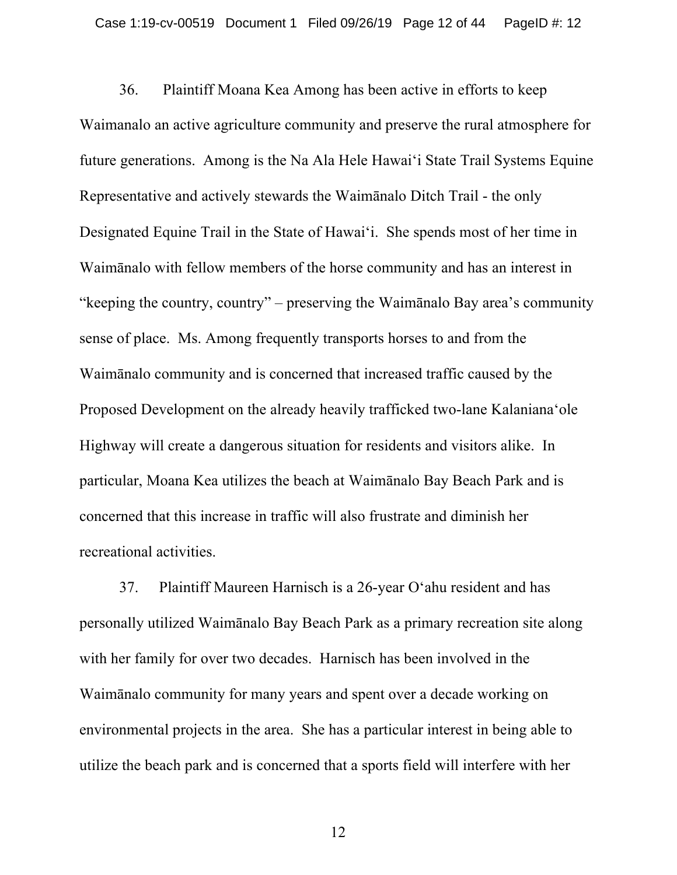36. Plaintiff Moana Kea Among has been active in efforts to keep Waimanalo an active agriculture community and preserve the rural atmosphere for future generations. Among is the Na Ala Hele Hawai'i State Trail Systems Equine Representative and actively stewards the Waimānalo Ditch Trail - the only Designated Equine Trail in the State of Hawai'i. She spends most of her time in Waimānalo with fellow members of the horse community and has an interest in "keeping the country, country" – preserving the Waimānalo Bay area's community sense of place. Ms. Among frequently transports horses to and from the Waimānalo community and is concerned that increased traffic caused by the Proposed Development on the already heavily trafficked two-lane Kalanianaʻole Highway will create a dangerous situation for residents and visitors alike. In particular, Moana Kea utilizes the beach at Waimānalo Bay Beach Park and is concerned that this increase in traffic will also frustrate and diminish her recreational activities.

37. Plaintiff Maureen Harnisch is a 26-year O'ahu resident and has personally utilized Waimānalo Bay Beach Park as a primary recreation site along with her family for over two decades. Harnisch has been involved in the Waimānalo community for many years and spent over a decade working on environmental projects in the area. She has a particular interest in being able to utilize the beach park and is concerned that a sports field will interfere with her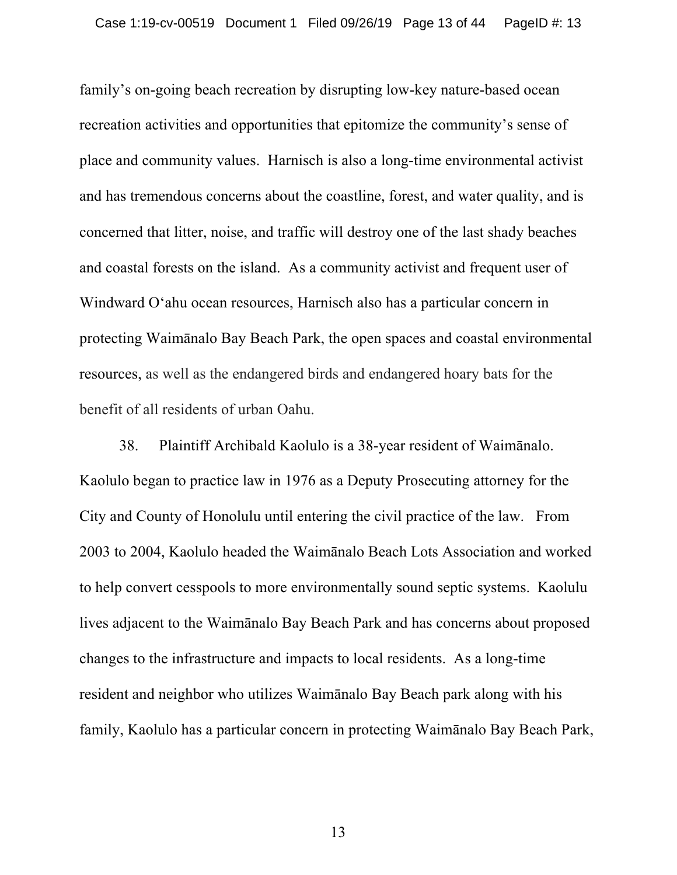family's on-going beach recreation by disrupting low-key nature-based ocean recreation activities and opportunities that epitomize the community's sense of place and community values. Harnisch is also a long-time environmental activist and has tremendous concerns about the coastline, forest, and water quality, and is concerned that litter, noise, and traffic will destroy one of the last shady beaches and coastal forests on the island. As a community activist and frequent user of Windward O'ahu ocean resources, Harnisch also has a particular concern in protecting Waimānalo Bay Beach Park, the open spaces and coastal environmental resources, as well as the endangered birds and endangered hoary bats for the benefit of all residents of urban Oahu.

38. Plaintiff Archibald Kaolulo is a 38-year resident of Waimānalo. Kaolulo began to practice law in 1976 as a Deputy Prosecuting attorney for the City and County of Honolulu until entering the civil practice of the law. From 2003 to 2004, Kaolulo headed the Waimānalo Beach Lots Association and worked to help convert cesspools to more environmentally sound septic systems. Kaolulu lives adjacent to the Waimānalo Bay Beach Park and has concerns about proposed changes to the infrastructure and impacts to local residents. As a long-time resident and neighbor who utilizes Waimānalo Bay Beach park along with his family, Kaolulo has a particular concern in protecting Waimānalo Bay Beach Park,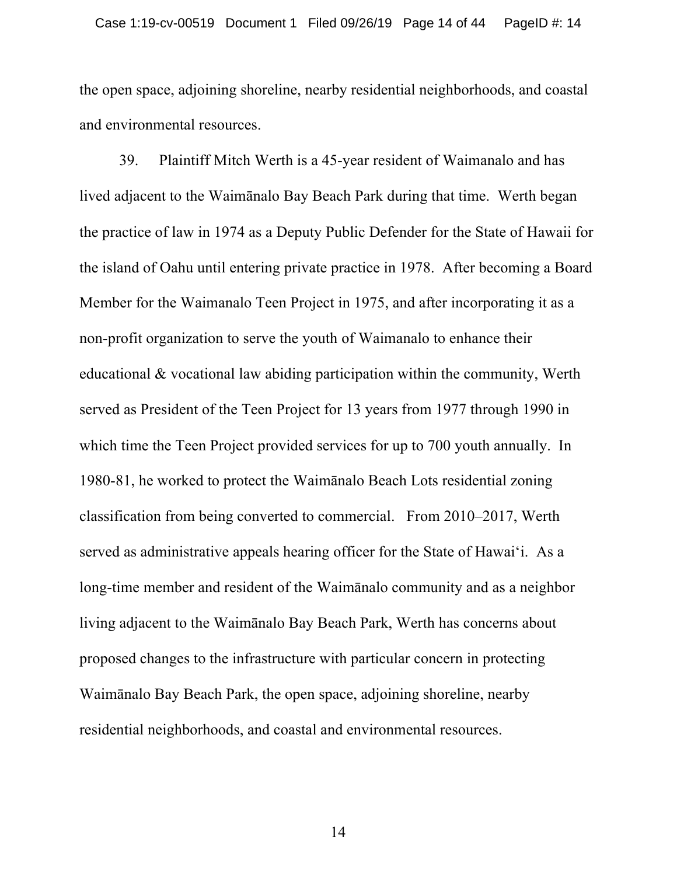the open space, adjoining shoreline, nearby residential neighborhoods, and coastal and environmental resources.

39. Plaintiff Mitch Werth is a 45-year resident of Waimanalo and has lived adjacent to the Waimānalo Bay Beach Park during that time. Werth began the practice of law in 1974 as a Deputy Public Defender for the State of Hawaii for the island of Oahu until entering private practice in 1978. After becoming a Board Member for the Waimanalo Teen Project in 1975, and after incorporating it as a non-profit organization to serve the youth of Waimanalo to enhance their educational & vocational law abiding participation within the community, Werth served as President of the Teen Project for 13 years from 1977 through 1990 in which time the Teen Project provided services for up to 700 youth annually. In 1980-81, he worked to protect the Waimānalo Beach Lots residential zoning classification from being converted to commercial. From 2010–2017, Werth served as administrative appeals hearing officer for the State of Hawai'i. As a long-time member and resident of the Waimānalo community and as a neighbor living adjacent to the Waimānalo Bay Beach Park, Werth has concerns about proposed changes to the infrastructure with particular concern in protecting Waimānalo Bay Beach Park, the open space, adjoining shoreline, nearby residential neighborhoods, and coastal and environmental resources.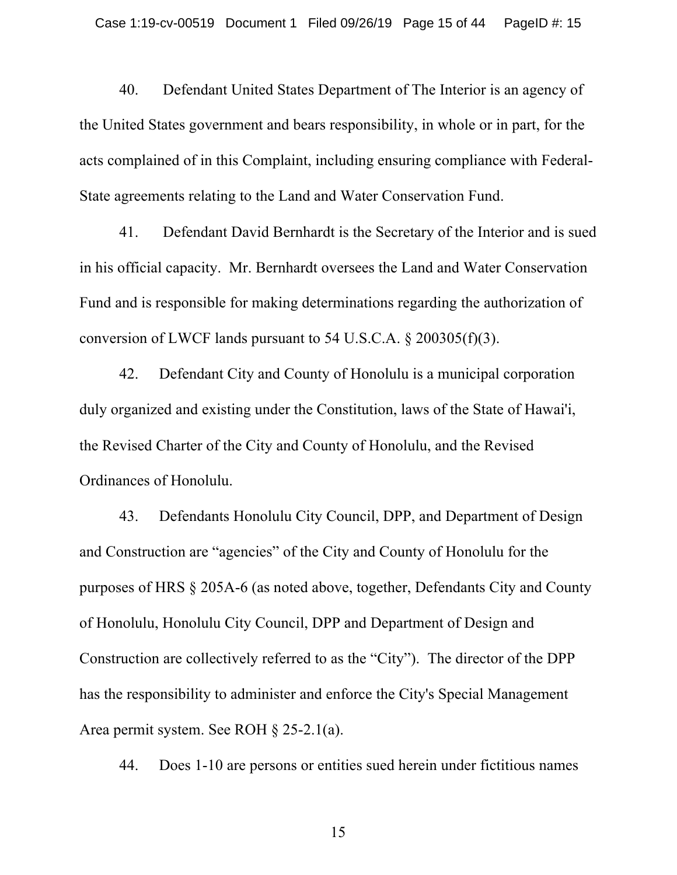40. Defendant United States Department of The Interior is an agency of the United States government and bears responsibility, in whole or in part, for the acts complained of in this Complaint, including ensuring compliance with Federal-State agreements relating to the Land and Water Conservation Fund.

41. Defendant David Bernhardt is the Secretary of the Interior and is sued in his official capacity. Mr. Bernhardt oversees the Land and Water Conservation Fund and is responsible for making determinations regarding the authorization of conversion of LWCF lands pursuant to 54 U.S.C.A.  $\S 200305(f)(3)$ .

42. Defendant City and County of Honolulu is a municipal corporation duly organized and existing under the Constitution, laws of the State of Hawai'i, the Revised Charter of the City and County of Honolulu, and the Revised Ordinances of Honolulu.

43. Defendants Honolulu City Council, DPP, and Department of Design and Construction are "agencies" of the City and County of Honolulu for the purposes of HRS § 205A-6 (as noted above, together, Defendants City and County of Honolulu, Honolulu City Council, DPP and Department of Design and Construction are collectively referred to as the "City"). The director of the DPP has the responsibility to administer and enforce the City's Special Management Area permit system. See ROH § 25-2.1(a).

44. Does 1-10 are persons or entities sued herein under fictitious names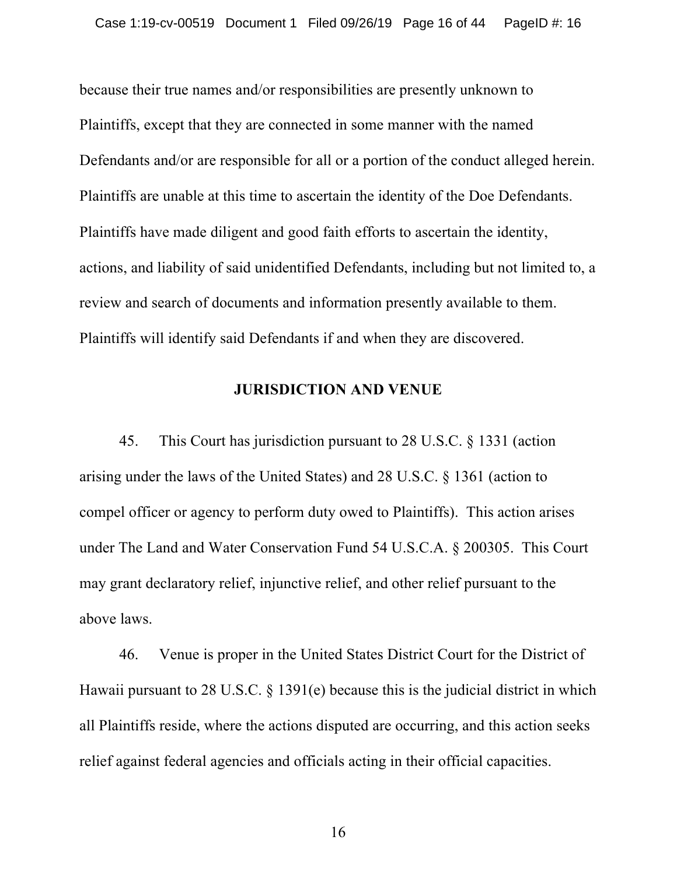because their true names and/or responsibilities are presently unknown to Plaintiffs, except that they are connected in some manner with the named Defendants and/or are responsible for all or a portion of the conduct alleged herein. Plaintiffs are unable at this time to ascertain the identity of the Doe Defendants. Plaintiffs have made diligent and good faith efforts to ascertain the identity, actions, and liability of said unidentified Defendants, including but not limited to, a review and search of documents and information presently available to them. Plaintiffs will identify said Defendants if and when they are discovered.

#### **JURISDICTION AND VENUE**

45. This Court has jurisdiction pursuant to 28 U.S.C. § 1331 (action arising under the laws of the United States) and 28 U.S.C. § 1361 (action to compel officer or agency to perform duty owed to Plaintiffs). This action arises under The Land and Water Conservation Fund 54 U.S.C.A. § 200305. This Court may grant declaratory relief, injunctive relief, and other relief pursuant to the above laws.

46. Venue is proper in the United States District Court for the District of Hawaii pursuant to 28 U.S.C. § 1391(e) because this is the judicial district in which all Plaintiffs reside, where the actions disputed are occurring, and this action seeks relief against federal agencies and officials acting in their official capacities.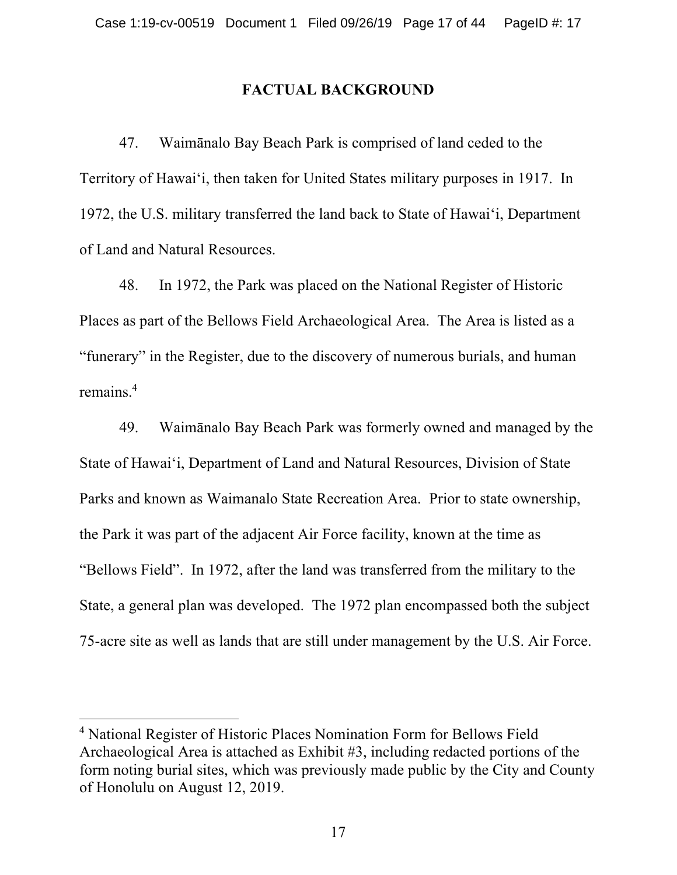#### **FACTUAL BACKGROUND**

47. Waimānalo Bay Beach Park is comprised of land ceded to the Territory of Hawai'i, then taken for United States military purposes in 1917. In 1972, the U.S. military transferred the land back to State of Hawai'i, Department of Land and Natural Resources.

48. In 1972, the Park was placed on the National Register of Historic Places as part of the Bellows Field Archaeological Area. The Area is listed as a "funerary" in the Register, due to the discovery of numerous burials, and human remains.4

49. Waimānalo Bay Beach Park was formerly owned and managed by the State of Hawai'i, Department of Land and Natural Resources, Division of State Parks and known as Waimanalo State Recreation Area. Prior to state ownership, the Park it was part of the adjacent Air Force facility, known at the time as "Bellows Field". In 1972, after the land was transferred from the military to the State, a general plan was developed. The 1972 plan encompassed both the subject 75-acre site as well as lands that are still under management by the U.S. Air Force.

<sup>4</sup> National Register of Historic Places Nomination Form for Bellows Field Archaeological Area is attached as Exhibit #3, including redacted portions of the form noting burial sites, which was previously made public by the City and County of Honolulu on August 12, 2019.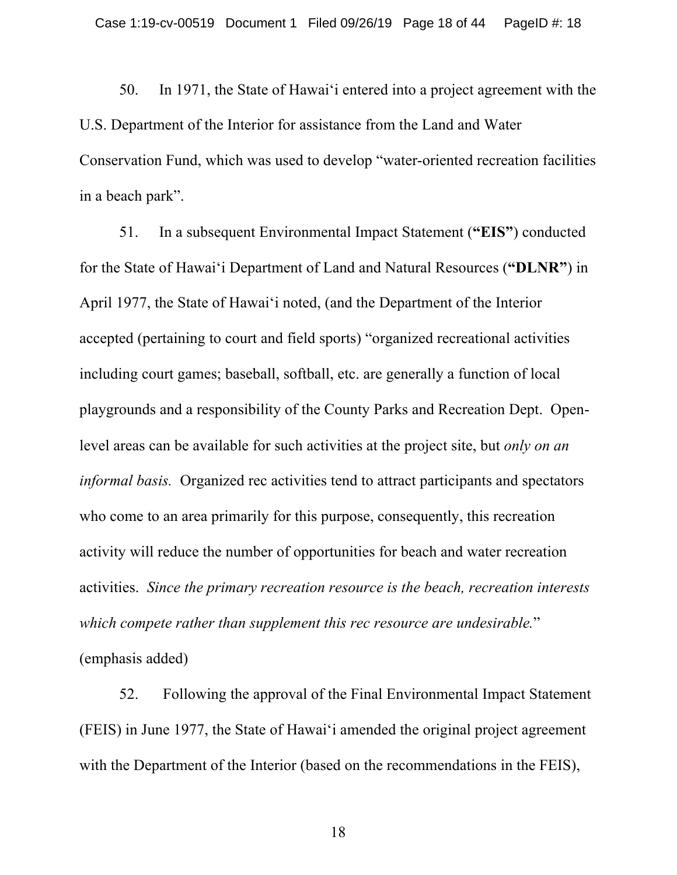50. In 1971, the State of Hawai'i entered into a project agreement with the U.S. Department of the Interior for assistance from the Land and Water Conservation Fund, which was used to develop "water-oriented recreation facilities in a beach park".

51. In a subsequent Environmental Impact Statement (**"EIS"**) conducted for the State of Hawai'i Department of Land and Natural Resources (**"DLNR"**) in April 1977, the State of Hawai'i noted, (and the Department of the Interior accepted (pertaining to court and field sports) "organized recreational activities including court games; baseball, softball, etc. are generally a function of local playgrounds and a responsibility of the County Parks and Recreation Dept. Openlevel areas can be available for such activities at the project site, but *only on an informal basis.* Organized rec activities tend to attract participants and spectators who come to an area primarily for this purpose, consequently, this recreation activity will reduce the number of opportunities for beach and water recreation activities. *Since the primary recreation resource is the beach, recreation interests which compete rather than supplement this rec resource are undesirable.*" (emphasis added)

52. Following the approval of the Final Environmental Impact Statement (FEIS) in June 1977, the State of Hawai'i amended the original project agreement with the Department of the Interior (based on the recommendations in the FEIS),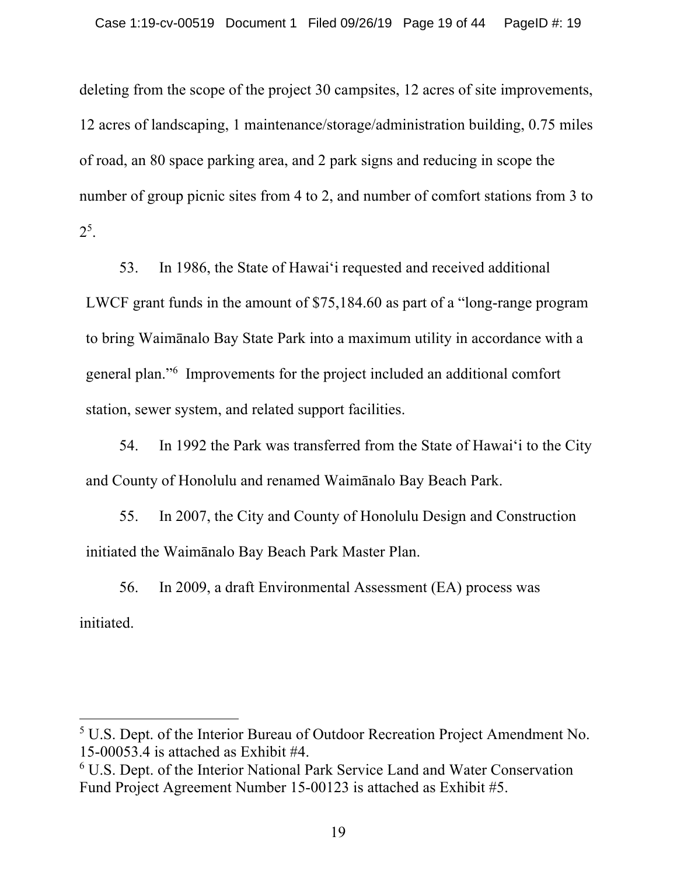deleting from the scope of the project 30 campsites, 12 acres of site improvements, 12 acres of landscaping, 1 maintenance/storage/administration building, 0.75 miles of road, an 80 space parking area, and 2 park signs and reducing in scope the number of group picnic sites from 4 to 2, and number of comfort stations from 3 to  $2^5$ .

53. In 1986, the State of Hawai'i requested and received additional LWCF grant funds in the amount of \$75,184.60 as part of a "long-range program to bring Waimānalo Bay State Park into a maximum utility in accordance with a general plan."6 Improvements for the project included an additional comfort station, sewer system, and related support facilities.

54. In 1992 the Park was transferred from the State of Hawai'i to the City and County of Honolulu and renamed Waimānalo Bay Beach Park.

55. In 2007, the City and County of Honolulu Design and Construction initiated the Waimānalo Bay Beach Park Master Plan.

56. In 2009, a draft Environmental Assessment (EA) process was initiated.

<sup>5</sup> U.S. Dept. of the Interior Bureau of Outdoor Recreation Project Amendment No. 15-00053.4 is attached as Exhibit #4.

<sup>6</sup> U.S. Dept. of the Interior National Park Service Land and Water Conservation Fund Project Agreement Number 15-00123 is attached as Exhibit #5.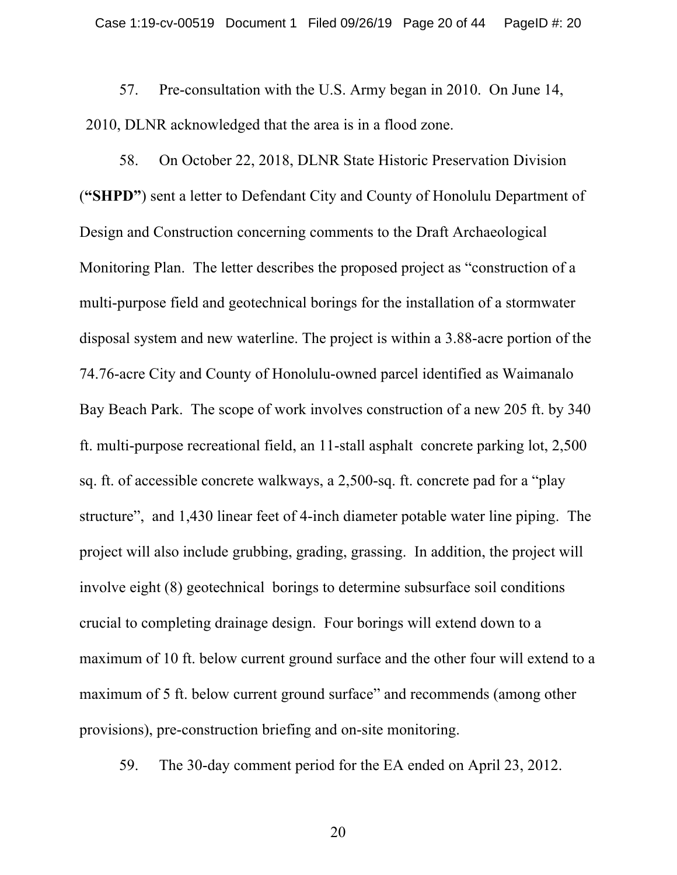57. Pre-consultation with the U.S. Army began in 2010. On June 14, 2010, DLNR acknowledged that the area is in a flood zone.

58. On October 22, 2018, DLNR State Historic Preservation Division (**"SHPD"**) sent a letter to Defendant City and County of Honolulu Department of Design and Construction concerning comments to the Draft Archaeological Monitoring Plan. The letter describes the proposed project as "construction of a multi-purpose field and geotechnical borings for the installation of a stormwater disposal system and new waterline. The project is within a 3.88-acre portion of the 74.76-acre City and County of Honolulu-owned parcel identified as Waimanalo Bay Beach Park. The scope of work involves construction of a new 205 ft. by 340 ft. multi-purpose recreational field, an 11-stall asphalt concrete parking lot, 2,500 sq. ft. of accessible concrete walkways, a 2,500-sq. ft. concrete pad for a "play structure", and 1,430 linear feet of 4-inch diameter potable water line piping. The project will also include grubbing, grading, grassing. In addition, the project will involve eight (8) geotechnical borings to determine subsurface soil conditions crucial to completing drainage design. Four borings will extend down to a maximum of 10 ft. below current ground surface and the other four will extend to a maximum of 5 ft. below current ground surface" and recommends (among other provisions), pre-construction briefing and on-site monitoring.

59. The 30-day comment period for the EA ended on April 23, 2012.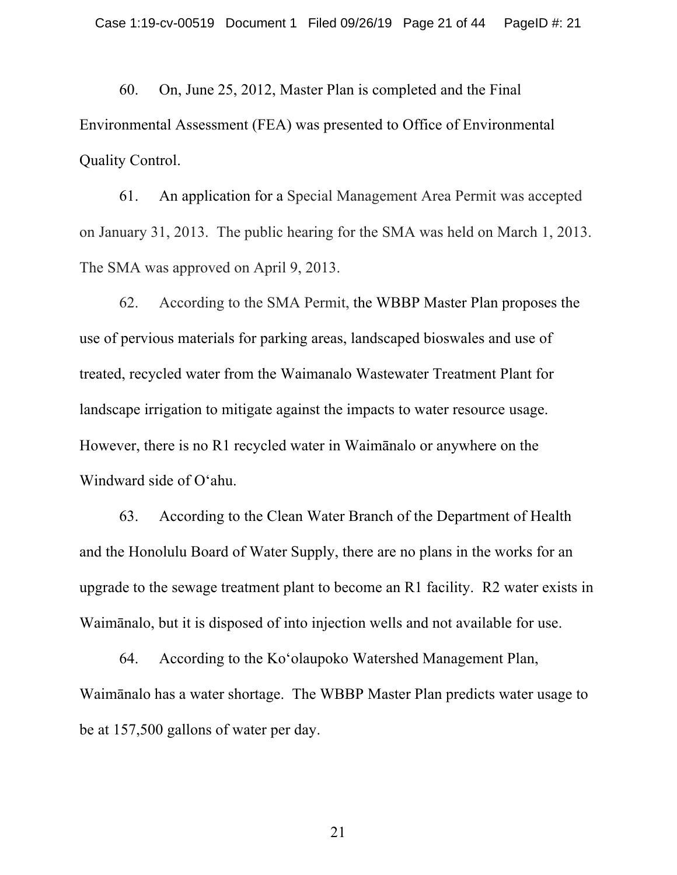60. On, June 25, 2012, Master Plan is completed and the Final Environmental Assessment (FEA) was presented to Office of Environmental Quality Control.

61. An application for a Special Management Area Permit was accepted on January 31, 2013. The public hearing for the SMA was held on March 1, 2013. The SMA was approved on April 9, 2013.

62. According to the SMA Permit, the WBBP Master Plan proposes the use of pervious materials for parking areas, landscaped bioswales and use of treated, recycled water from the Waimanalo Wastewater Treatment Plant for landscape irrigation to mitigate against the impacts to water resource usage. However, there is no R1 recycled water in Waimānalo or anywhere on the Windward side of O'ahu.

63. According to the Clean Water Branch of the Department of Health and the Honolulu Board of Water Supply, there are no plans in the works for an upgrade to the sewage treatment plant to become an R1 facility. R2 water exists in Waimānalo, but it is disposed of into injection wells and not available for use.

 64. According to the Ko'olaupoko Watershed Management Plan, Waimānalo has a water shortage. The WBBP Master Plan predicts water usage to be at 157,500 gallons of water per day.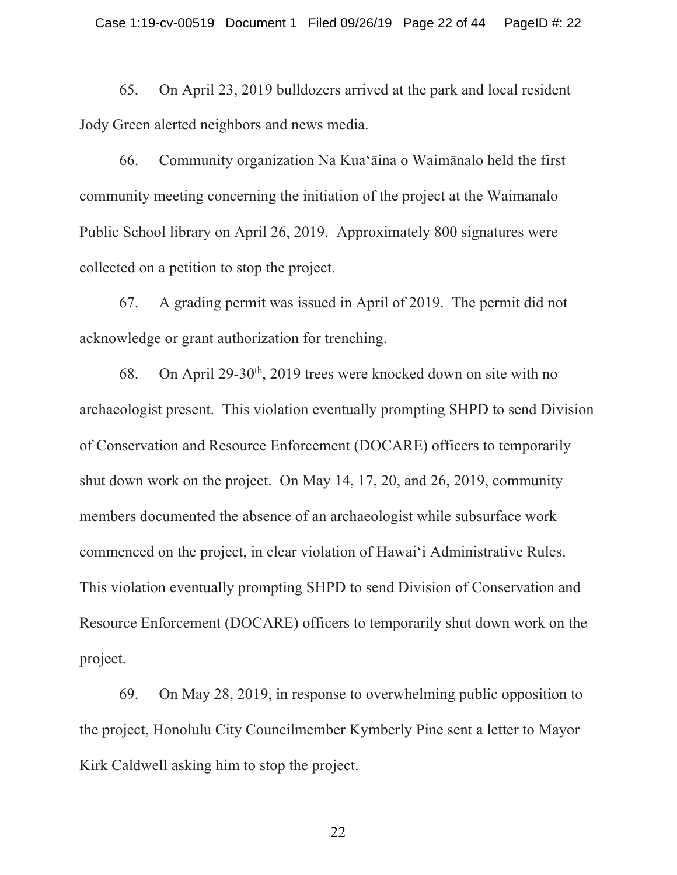65. On April 23, 2019 bulldozers arrived at the park and local resident Jody Green alerted neighbors and news media.

66. Community organization Na Kua'āina o Waimānalo held the first community meeting concerning the initiation of the project at the Waimanalo Public School library on April 26, 2019. Approximately 800 signatures were collected on a petition to stop the project.

67. A grading permit was issued in April of 2019. The permit did not acknowledge or grant authorization for trenching.

68. On April 29-30<sup>th</sup>, 2019 trees were knocked down on site with no archaeologist present. This violation eventually prompting SHPD to send Division of Conservation and Resource Enforcement (DOCARE) officers to temporarily shut down work on the project. On May 14, 17, 20, and 26, 2019, community members documented the absence of an archaeologist while subsurface work commenced on the project, in clear violation of Hawai'i Administrative Rules. This violation eventually prompting SHPD to send Division of Conservation and Resource Enforcement (DOCARE) officers to temporarily shut down work on the project.

69. On May 28, 2019, in response to overwhelming public opposition to the project, Honolulu City Councilmember Kymberly Pine sent a letter to Mayor Kirk Caldwell asking him to stop the project.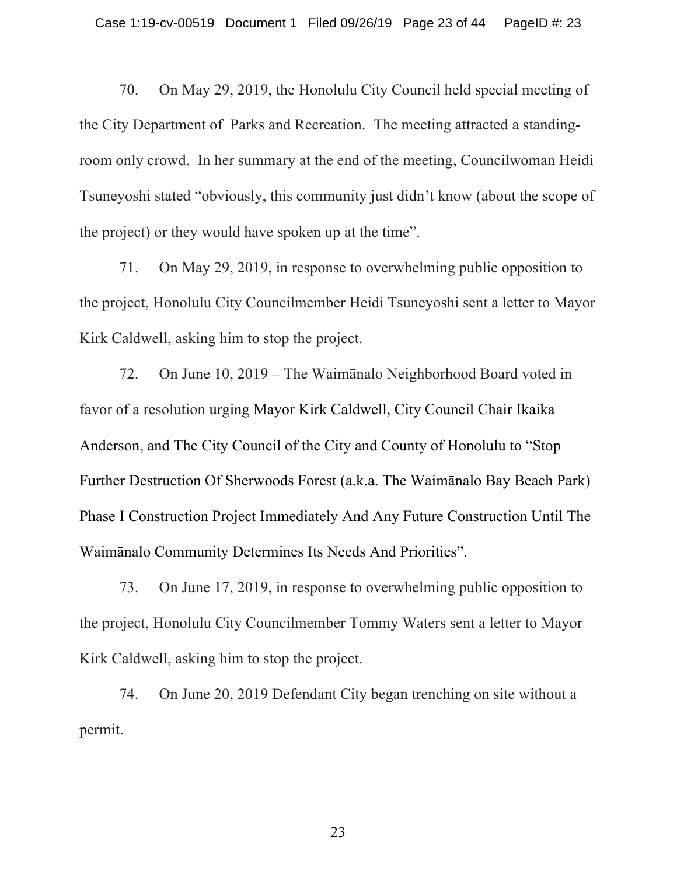70. On May 29, 2019, the Honolulu City Council held special meeting of the City Department of Parks and Recreation. The meeting attracted a standingroom only crowd. In her summary at the end of the meeting, Councilwoman Heidi Tsuneyoshi stated "obviously, this community just didn't know (about the scope of the project) or they would have spoken up at the time".

71. On May 29, 2019, in response to overwhelming public opposition to the project, Honolulu City Councilmember Heidi Tsuneyoshi sent a letter to Mayor Kirk Caldwell, asking him to stop the project.

72. On June 10, 2019 – The Waimānalo Neighborhood Board voted in favor of a resolution urging Mayor Kirk Caldwell, City Council Chair Ikaika Anderson, and The City Council of the City and County of Honolulu to "Stop Further Destruction Of Sherwoods Forest (a.k.a. The Waimānalo Bay Beach Park) Phase I Construction Project Immediately And Any Future Construction Until The Waimānalo Community Determines Its Needs And Priorities".

73. On June 17, 2019, in response to overwhelming public opposition to the project, Honolulu City Councilmember Tommy Waters sent a letter to Mayor Kirk Caldwell, asking him to stop the project.

74. On June 20, 2019 Defendant City began trenching on site without a permit.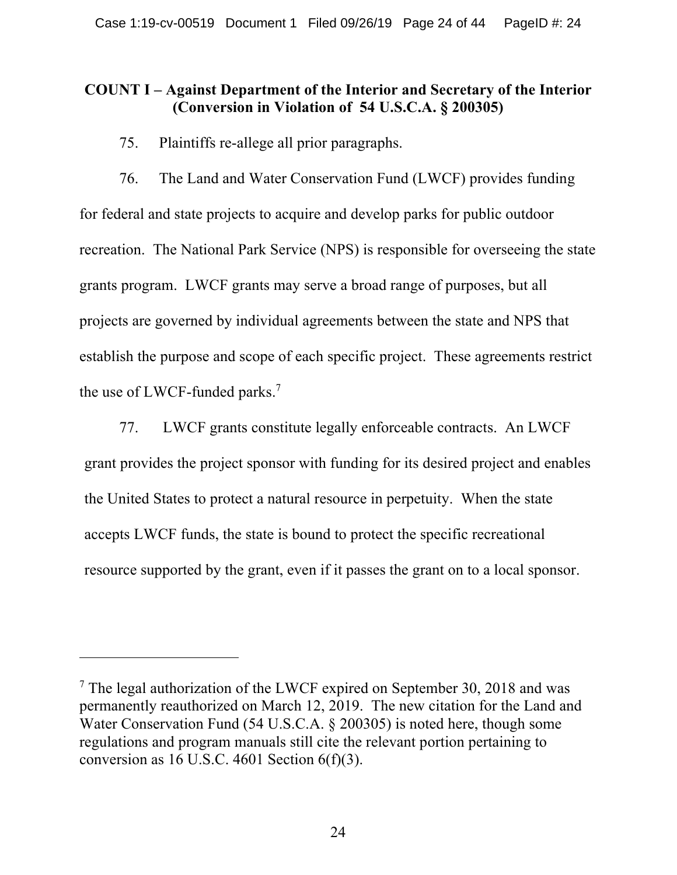## **COUNT I – Against Department of the Interior and Secretary of the Interior (Conversion in Violation of 54 U.S.C.A. § 200305)**

75. Plaintiffs re-allege all prior paragraphs.

76. The Land and Water Conservation Fund (LWCF) provides funding for federal and state projects to acquire and develop parks for public outdoor recreation. The National Park Service (NPS) is responsible for overseeing the state grants program. LWCF grants may serve a broad range of purposes, but all projects are governed by individual agreements between the state and NPS that establish the purpose and scope of each specific project. These agreements restrict the use of LWCF-funded parks.<sup>7</sup>

77. LWCF grants constitute legally enforceable contracts. An LWCF grant provides the project sponsor with funding for its desired project and enables the United States to protect a natural resource in perpetuity. When the state accepts LWCF funds, the state is bound to protect the specific recreational resource supported by the grant, even if it passes the grant on to a local sponsor.

 $7$  The legal authorization of the LWCF expired on September 30, 2018 and was permanently reauthorized on March 12, 2019. The new citation for the Land and Water Conservation Fund (54 U.S.C.A. § 200305) is noted here, though some regulations and program manuals still cite the relevant portion pertaining to conversion as 16 U.S.C. 4601 Section  $6(f)(3)$ .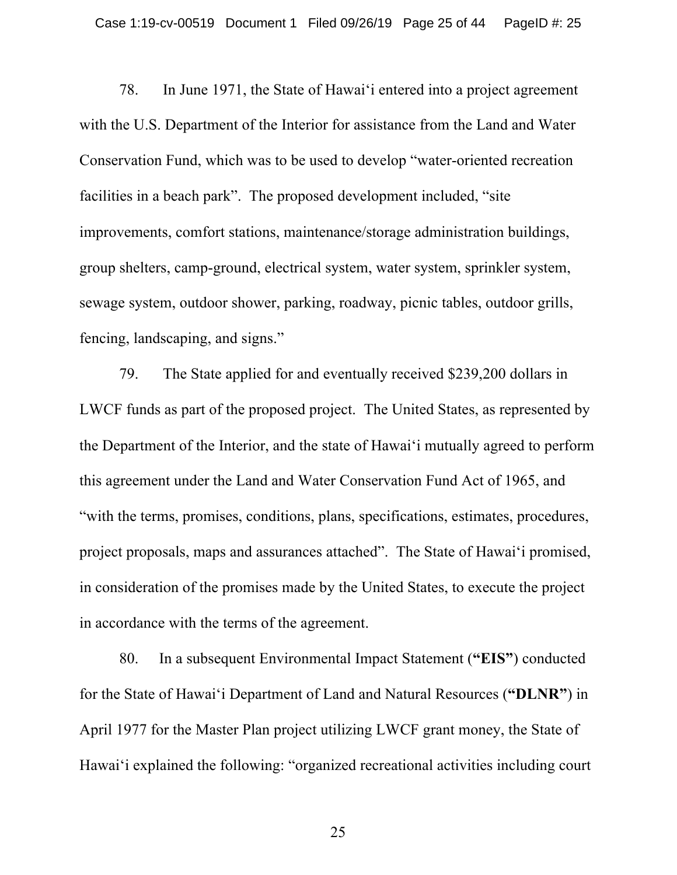78. In June 1971, the State of Hawai'i entered into a project agreement with the U.S. Department of the Interior for assistance from the Land and Water Conservation Fund, which was to be used to develop "water-oriented recreation facilities in a beach park". The proposed development included, "site improvements, comfort stations, maintenance/storage administration buildings, group shelters, camp-ground, electrical system, water system, sprinkler system, sewage system, outdoor shower, parking, roadway, picnic tables, outdoor grills, fencing, landscaping, and signs."

79. The State applied for and eventually received \$239,200 dollars in LWCF funds as part of the proposed project. The United States, as represented by the Department of the Interior, and the state of Hawai'i mutually agreed to perform this agreement under the Land and Water Conservation Fund Act of 1965, and "with the terms, promises, conditions, plans, specifications, estimates, procedures, project proposals, maps and assurances attached". The State of Hawai'i promised, in consideration of the promises made by the United States, to execute the project in accordance with the terms of the agreement.

80. In a subsequent Environmental Impact Statement (**"EIS"**) conducted for the State of Hawai'i Department of Land and Natural Resources (**"DLNR"**) in April 1977 for the Master Plan project utilizing LWCF grant money, the State of Hawai'i explained the following: "organized recreational activities including court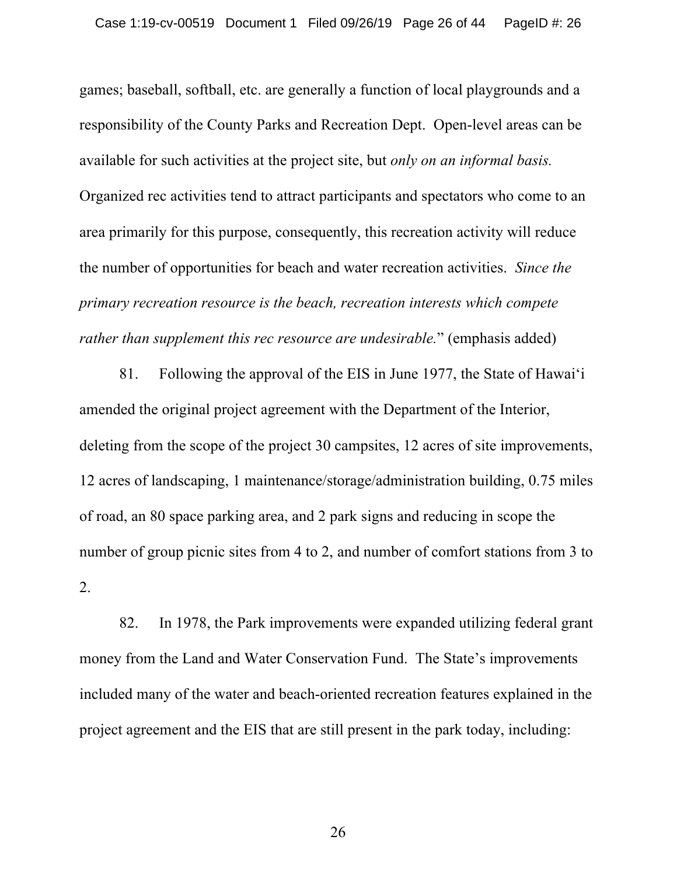games; baseball, softball, etc. are generally a function of local playgrounds and a responsibility of the County Parks and Recreation Dept. Open-level areas can be available for such activities at the project site, but *only on an informal basis.* Organized rec activities tend to attract participants and spectators who come to an area primarily for this purpose, consequently, this recreation activity will reduce the number of opportunities for beach and water recreation activities. *Since the primary recreation resource is the beach, recreation interests which compete rather than supplement this rec resource are undesirable.*" (emphasis added)

81. Following the approval of the EIS in June 1977, the State of Hawai'i amended the original project agreement with the Department of the Interior, deleting from the scope of the project 30 campsites, 12 acres of site improvements, 12 acres of landscaping, 1 maintenance/storage/administration building, 0.75 miles of road, an 80 space parking area, and 2 park signs and reducing in scope the number of group picnic sites from 4 to 2, and number of comfort stations from 3 to 2.

82. In 1978, the Park improvements were expanded utilizing federal grant money from the Land and Water Conservation Fund. The State's improvements included many of the water and beach-oriented recreation features explained in the project agreement and the EIS that are still present in the park today, including: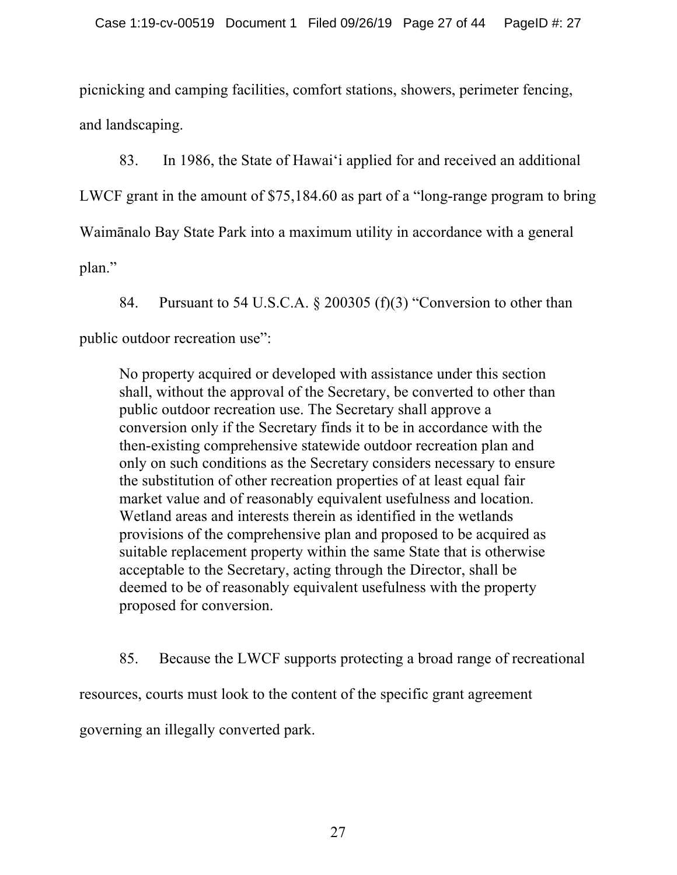picnicking and camping facilities, comfort stations, showers, perimeter fencing, and landscaping.

83. In 1986, the State of Hawai'i applied for and received an additional LWCF grant in the amount of \$75,184.60 as part of a "long-range program to bring Waimānalo Bay State Park into a maximum utility in accordance with a general plan."

84. Pursuant to 54 U.S.C.A. § 200305 (f)(3) "Conversion to other than public outdoor recreation use":

No property acquired or developed with assistance under this section shall, without the approval of the Secretary, be converted to other than public outdoor recreation use. The Secretary shall approve a conversion only if the Secretary finds it to be in accordance with the then-existing comprehensive statewide outdoor recreation plan and only on such conditions as the Secretary considers necessary to ensure the substitution of other recreation properties of at least equal fair market value and of reasonably equivalent usefulness and location. Wetland areas and interests therein as identified in the wetlands provisions of the comprehensive plan and proposed to be acquired as suitable replacement property within the same State that is otherwise acceptable to the Secretary, acting through the Director, shall be deemed to be of reasonably equivalent usefulness with the property proposed for conversion.

85. Because the LWCF supports protecting a broad range of recreational resources, courts must look to the content of the specific grant agreement governing an illegally converted park.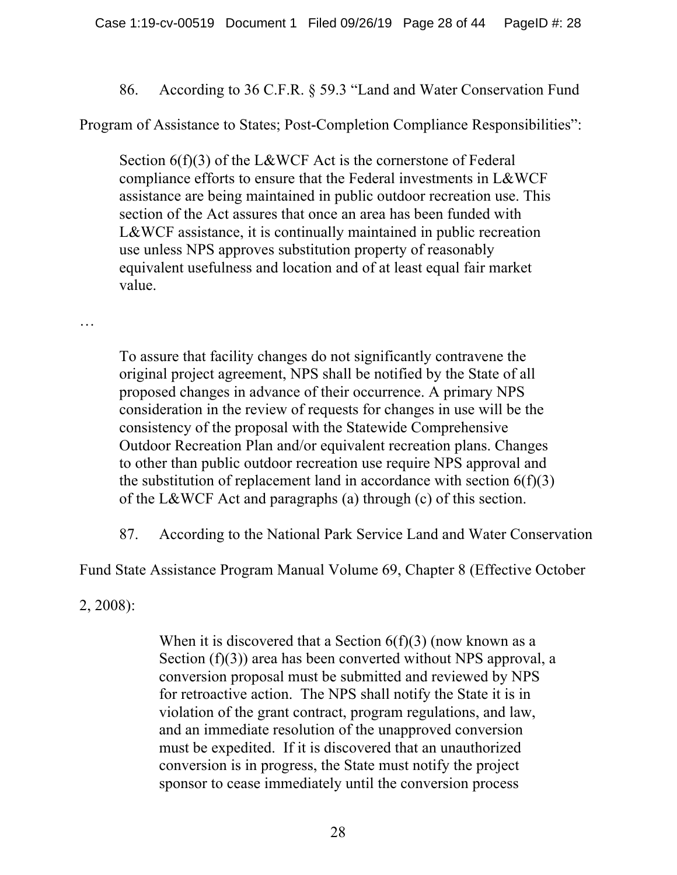86. According to 36 C.F.R. § 59.3 "Land and Water Conservation Fund

Program of Assistance to States; Post-Completion Compliance Responsibilities":

Section 6(f)(3) of the L&WCF Act is the cornerstone of Federal compliance efforts to ensure that the Federal investments in L&WCF assistance are being maintained in public outdoor recreation use. This section of the Act assures that once an area has been funded with L&WCF assistance, it is continually maintained in public recreation use unless NPS approves substitution property of reasonably equivalent usefulness and location and of at least equal fair market value.

…

To assure that facility changes do not significantly contravene the original project agreement, NPS shall be notified by the State of all proposed changes in advance of their occurrence. A primary NPS consideration in the review of requests for changes in use will be the consistency of the proposal with the Statewide Comprehensive Outdoor Recreation Plan and/or equivalent recreation plans. Changes to other than public outdoor recreation use require NPS approval and the substitution of replacement land in accordance with section  $6(f)(3)$ of the L&WCF Act and paragraphs (a) through (c) of this section.

87. According to the National Park Service Land and Water Conservation

Fund State Assistance Program Manual Volume 69, Chapter 8 (Effective October

2, 2008):

When it is discovered that a Section  $6(f)(3)$  (now known as a Section (f)(3)) area has been converted without NPS approval, a conversion proposal must be submitted and reviewed by NPS for retroactive action. The NPS shall notify the State it is in violation of the grant contract, program regulations, and law, and an immediate resolution of the unapproved conversion must be expedited. If it is discovered that an unauthorized conversion is in progress, the State must notify the project sponsor to cease immediately until the conversion process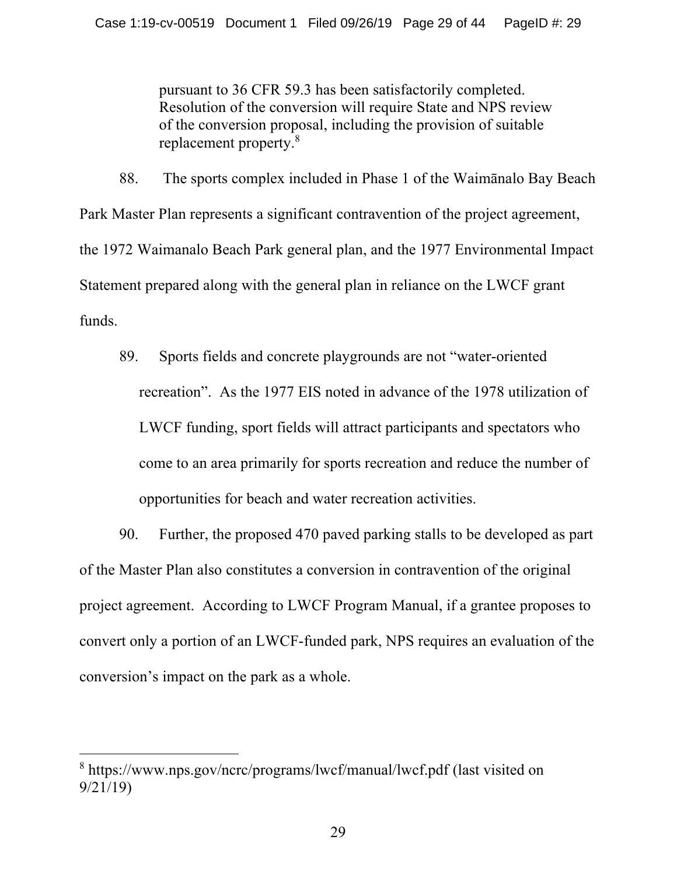pursuant to 36 CFR 59.3 has been satisfactorily completed. Resolution of the conversion will require State and NPS review of the conversion proposal, including the provision of suitable replacement property.8

88. The sports complex included in Phase 1 of the Waimānalo Bay Beach Park Master Plan represents a significant contravention of the project agreement, the 1972 Waimanalo Beach Park general plan, and the 1977 Environmental Impact Statement prepared along with the general plan in reliance on the LWCF grant funds.

89. Sports fields and concrete playgrounds are not "water-oriented recreation". As the 1977 EIS noted in advance of the 1978 utilization of LWCF funding, sport fields will attract participants and spectators who come to an area primarily for sports recreation and reduce the number of opportunities for beach and water recreation activities.

90. Further, the proposed 470 paved parking stalls to be developed as part of the Master Plan also constitutes a conversion in contravention of the original project agreement. According to LWCF Program Manual, if a grantee proposes to convert only a portion of an LWCF-funded park, NPS requires an evaluation of the conversion's impact on the park as a whole.

<sup>8</sup> https://www.nps.gov/ncrc/programs/lwcf/manual/lwcf.pdf (last visited on 9/21/19)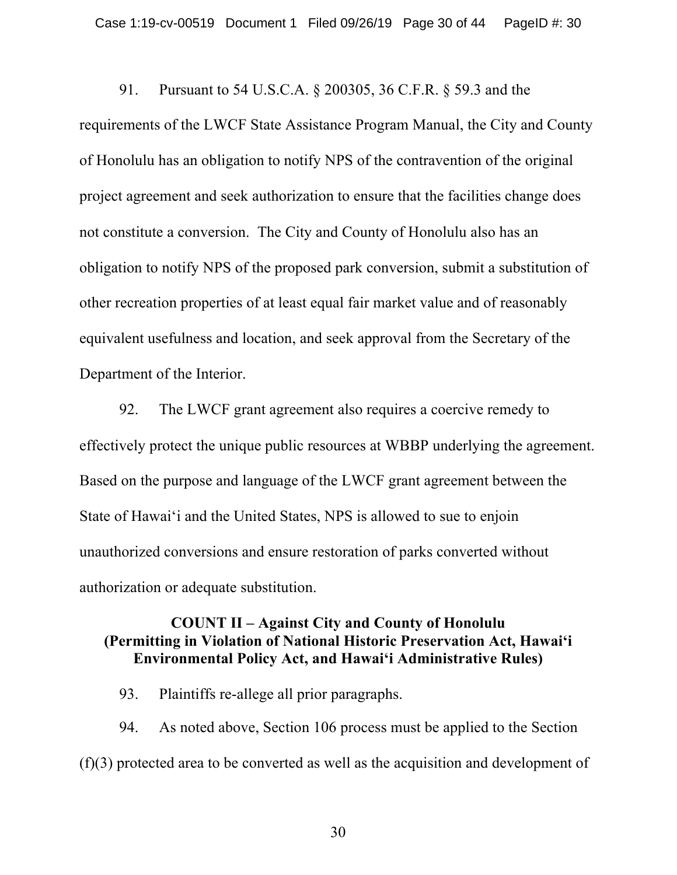91. Pursuant to 54 U.S.C.A. § 200305, 36 C.F.R. § 59.3 and the requirements of the LWCF State Assistance Program Manual, the City and County of Honolulu has an obligation to notify NPS of the contravention of the original project agreement and seek authorization to ensure that the facilities change does not constitute a conversion. The City and County of Honolulu also has an obligation to notify NPS of the proposed park conversion, submit a substitution of other recreation properties of at least equal fair market value and of reasonably equivalent usefulness and location, and seek approval from the Secretary of the Department of the Interior.

92. The LWCF grant agreement also requires a coercive remedy to effectively protect the unique public resources at WBBP underlying the agreement. Based on the purpose and language of the LWCF grant agreement between the State of Hawai'i and the United States, NPS is allowed to sue to enjoin unauthorized conversions and ensure restoration of parks converted without authorization or adequate substitution.

#### **COUNT II – Against City and County of Honolulu (Permitting in Violation of National Historic Preservation Act, Hawai'i Environmental Policy Act, and Hawai'i Administrative Rules)**

93. Plaintiffs re-allege all prior paragraphs.

94. As noted above, Section 106 process must be applied to the Section (f)(3) protected area to be converted as well as the acquisition and development of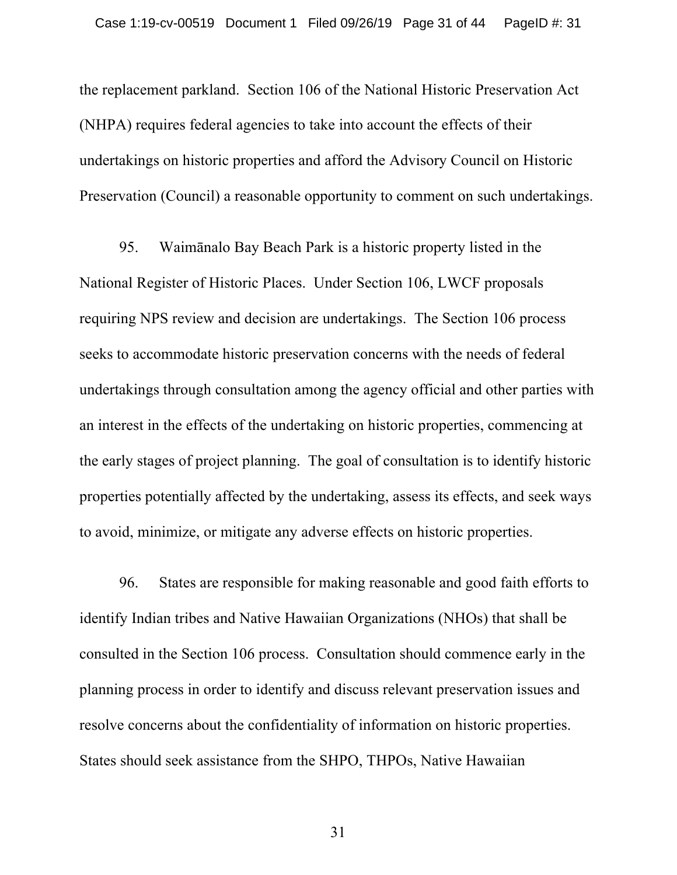the replacement parkland. Section 106 of the National Historic Preservation Act (NHPA) requires federal agencies to take into account the effects of their undertakings on historic properties and afford the Advisory Council on Historic Preservation (Council) a reasonable opportunity to comment on such undertakings.

95. Waimānalo Bay Beach Park is a historic property listed in the National Register of Historic Places. Under Section 106, LWCF proposals requiring NPS review and decision are undertakings. The Section 106 process seeks to accommodate historic preservation concerns with the needs of federal undertakings through consultation among the agency official and other parties with an interest in the effects of the undertaking on historic properties, commencing at the early stages of project planning. The goal of consultation is to identify historic properties potentially affected by the undertaking, assess its effects, and seek ways to avoid, minimize, or mitigate any adverse effects on historic properties.

96. States are responsible for making reasonable and good faith efforts to identify Indian tribes and Native Hawaiian Organizations (NHOs) that shall be consulted in the Section 106 process. Consultation should commence early in the planning process in order to identify and discuss relevant preservation issues and resolve concerns about the confidentiality of information on historic properties. States should seek assistance from the SHPO, THPOs, Native Hawaiian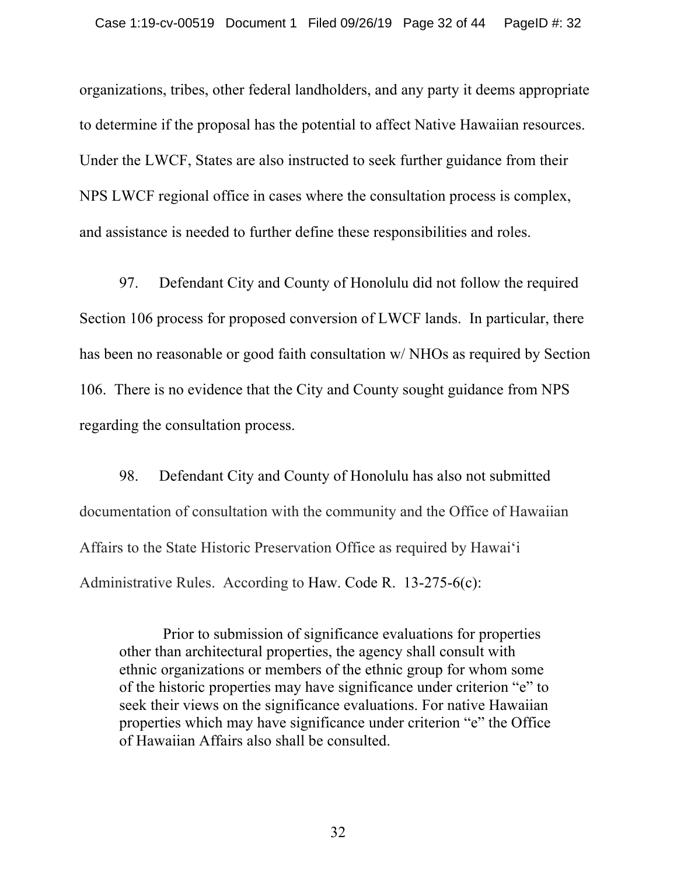organizations, tribes, other federal landholders, and any party it deems appropriate to determine if the proposal has the potential to affect Native Hawaiian resources. Under the LWCF, States are also instructed to seek further guidance from their NPS LWCF regional office in cases where the consultation process is complex, and assistance is needed to further define these responsibilities and roles.

97. Defendant City and County of Honolulu did not follow the required Section 106 process for proposed conversion of LWCF lands. In particular, there has been no reasonable or good faith consultation w/ NHOs as required by Section 106. There is no evidence that the City and County sought guidance from NPS regarding the consultation process.

98. Defendant City and County of Honolulu has also not submitted documentation of consultation with the community and the Office of Hawaiian Affairs to the State Historic Preservation Office as required by Hawai'i Administrative Rules. According to Haw. Code R. 13-275-6(c):

Prior to submission of significance evaluations for properties other than architectural properties, the agency shall consult with ethnic organizations or members of the ethnic group for whom some of the historic properties may have significance under criterion "e" to seek their views on the significance evaluations. For native Hawaiian properties which may have significance under criterion "e" the Office of Hawaiian Affairs also shall be consulted.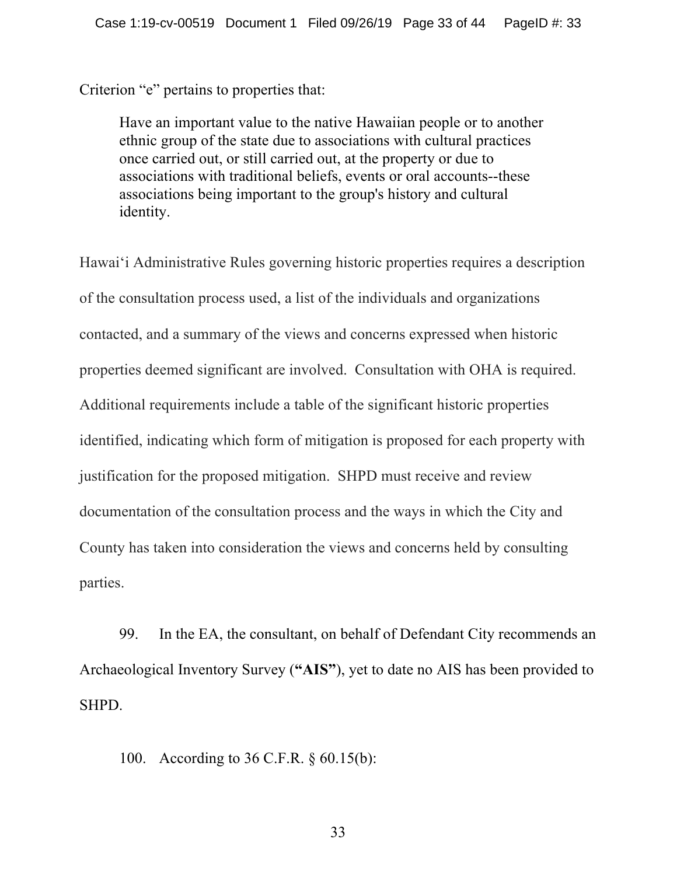Criterion "e" pertains to properties that:

Have an important value to the native Hawaiian people or to another ethnic group of the state due to associations with cultural practices once carried out, or still carried out, at the property or due to associations with traditional beliefs, events or oral accounts--these associations being important to the group's history and cultural identity.

Hawai'i Administrative Rules governing historic properties requires a description of the consultation process used, a list of the individuals and organizations contacted, and a summary of the views and concerns expressed when historic properties deemed significant are involved. Consultation with OHA is required. Additional requirements include a table of the significant historic properties identified, indicating which form of mitigation is proposed for each property with justification for the proposed mitigation. SHPD must receive and review documentation of the consultation process and the ways in which the City and County has taken into consideration the views and concerns held by consulting parties.

99. In the EA, the consultant, on behalf of Defendant City recommends an Archaeological Inventory Survey (**"AIS"**), yet to date no AIS has been provided to SHPD.

100. According to 36 C.F.R. § 60.15(b):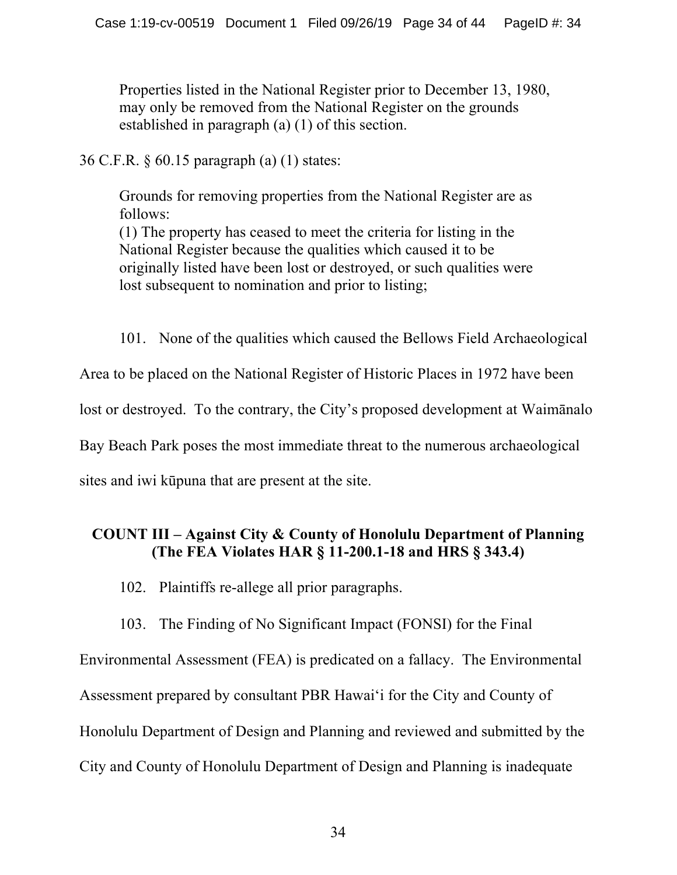Properties listed in the National Register prior to December 13, 1980, may only be removed from the National Register on the grounds established in paragraph (a) (1) of this section.

36 C.F.R. § 60.15 paragraph (a) (1) states:

Grounds for removing properties from the National Register are as follows:

(1) The property has ceased to meet the criteria for listing in the National Register because the qualities which caused it to be originally listed have been lost or destroyed, or such qualities were lost subsequent to nomination and prior to listing;

101. None of the qualities which caused the Bellows Field Archaeological Area to be placed on the National Register of Historic Places in 1972 have been lost or destroyed. To the contrary, the City's proposed development at Waimānalo Bay Beach Park poses the most immediate threat to the numerous archaeological sites and iwi kūpuna that are present at the site.

# **COUNT III – Against City & County of Honolulu Department of Planning (The FEA Violates HAR § 11-200.1-18 and HRS § 343.4)**

102. Plaintiffs re-allege all prior paragraphs.

103. The Finding of No Significant Impact (FONSI) for the Final

Environmental Assessment (FEA) is predicated on a fallacy. The Environmental Assessment prepared by consultant PBR Hawai'i for the City and County of Honolulu Department of Design and Planning and reviewed and submitted by the City and County of Honolulu Department of Design and Planning is inadequate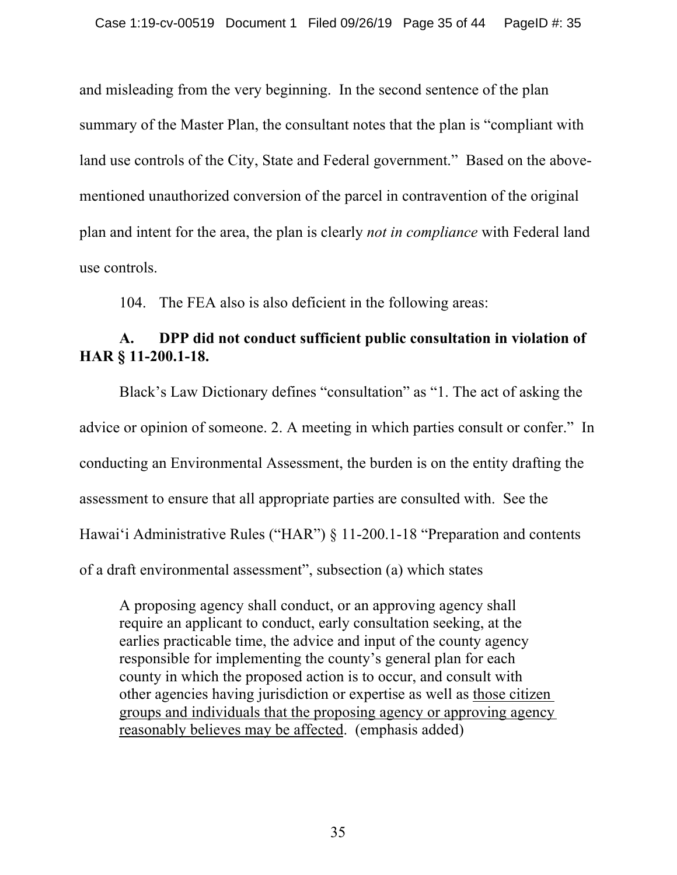and misleading from the very beginning. In the second sentence of the plan summary of the Master Plan, the consultant notes that the plan is "compliant with land use controls of the City, State and Federal government." Based on the abovementioned unauthorized conversion of the parcel in contravention of the original plan and intent for the area, the plan is clearly *not in compliance* with Federal land use controls.

104. The FEA also is also deficient in the following areas:

## **A. DPP did not conduct sufficient public consultation in violation of HAR § 11-200.1-18.**

Black's Law Dictionary defines "consultation" as "1. The act of asking the advice or opinion of someone. 2. A meeting in which parties consult or confer." In conducting an Environmental Assessment, the burden is on the entity drafting the assessment to ensure that all appropriate parties are consulted with. See the Hawaiʻi Administrative Rules ("HAR") § 11-200.1-18 "Preparation and contents of a draft environmental assessment", subsection (a) which states

A proposing agency shall conduct, or an approving agency shall require an applicant to conduct, early consultation seeking, at the earlies practicable time, the advice and input of the county agency responsible for implementing the county's general plan for each county in which the proposed action is to occur, and consult with other agencies having jurisdiction or expertise as well as those citizen groups and individuals that the proposing agency or approving agency reasonably believes may be affected. (emphasis added)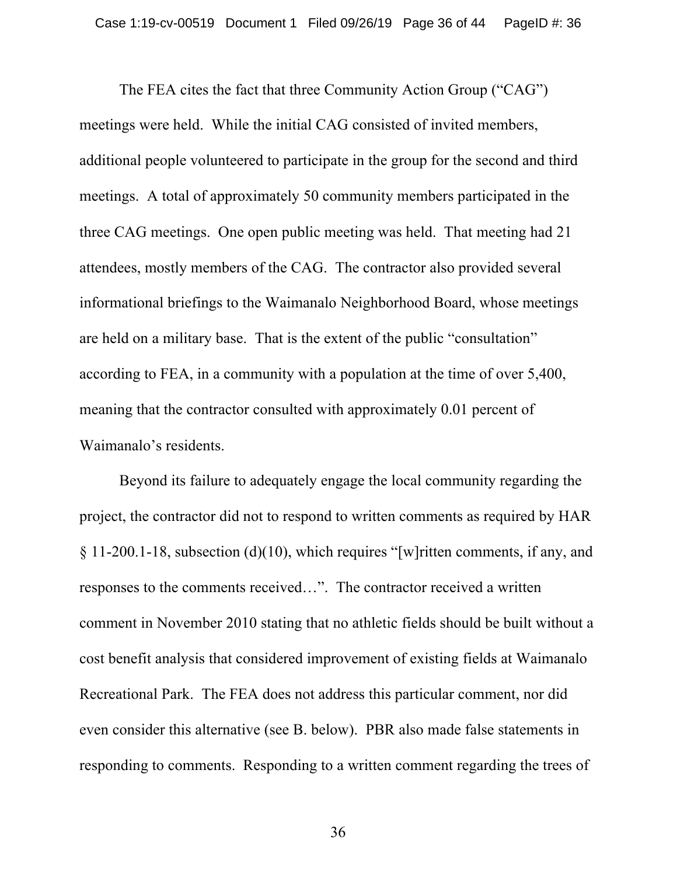The FEA cites the fact that three Community Action Group ("CAG") meetings were held. While the initial CAG consisted of invited members, additional people volunteered to participate in the group for the second and third meetings. A total of approximately 50 community members participated in the three CAG meetings. One open public meeting was held. That meeting had 21 attendees, mostly members of the CAG. The contractor also provided several informational briefings to the Waimanalo Neighborhood Board, whose meetings are held on a military base. That is the extent of the public "consultation" according to FEA, in a community with a population at the time of over 5,400, meaning that the contractor consulted with approximately 0.01 percent of Waimanalo's residents.

Beyond its failure to adequately engage the local community regarding the project, the contractor did not to respond to written comments as required by HAR § 11-200.1-18, subsection (d)(10), which requires "[w]ritten comments, if any, and responses to the comments received…". The contractor received a written comment in November 2010 stating that no athletic fields should be built without a cost benefit analysis that considered improvement of existing fields at Waimanalo Recreational Park. The FEA does not address this particular comment, nor did even consider this alternative (see B. below). PBR also made false statements in responding to comments. Responding to a written comment regarding the trees of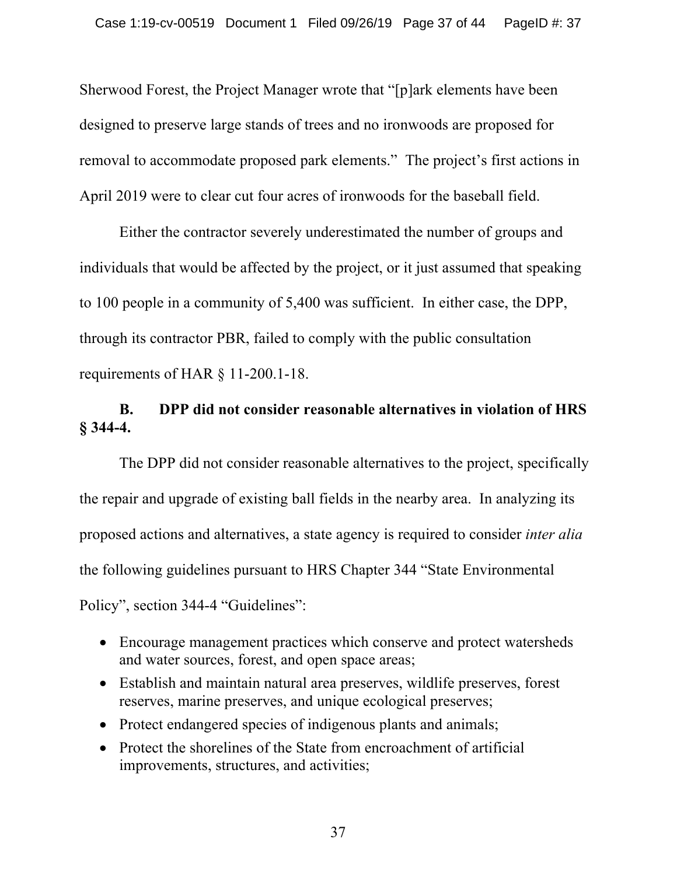Sherwood Forest, the Project Manager wrote that "[p]ark elements have been designed to preserve large stands of trees and no ironwoods are proposed for removal to accommodate proposed park elements." The project's first actions in April 2019 were to clear cut four acres of ironwoods for the baseball field.

Either the contractor severely underestimated the number of groups and individuals that would be affected by the project, or it just assumed that speaking to 100 people in a community of 5,400 was sufficient. In either case, the DPP, through its contractor PBR, failed to comply with the public consultation requirements of HAR § 11-200.1-18.

# **B. DPP did not consider reasonable alternatives in violation of HRS § 344-4.**

The DPP did not consider reasonable alternatives to the project, specifically the repair and upgrade of existing ball fields in the nearby area. In analyzing its proposed actions and alternatives, a state agency is required to consider *inter alia* the following guidelines pursuant to HRS Chapter 344 "State Environmental Policy", section 344-4 "Guidelines":

- Encourage management practices which conserve and protect watersheds and water sources, forest, and open space areas;
- Establish and maintain natural area preserves, wildlife preserves, forest reserves, marine preserves, and unique ecological preserves;
- Protect endangered species of indigenous plants and animals;
- Protect the shorelines of the State from encroachment of artificial improvements, structures, and activities;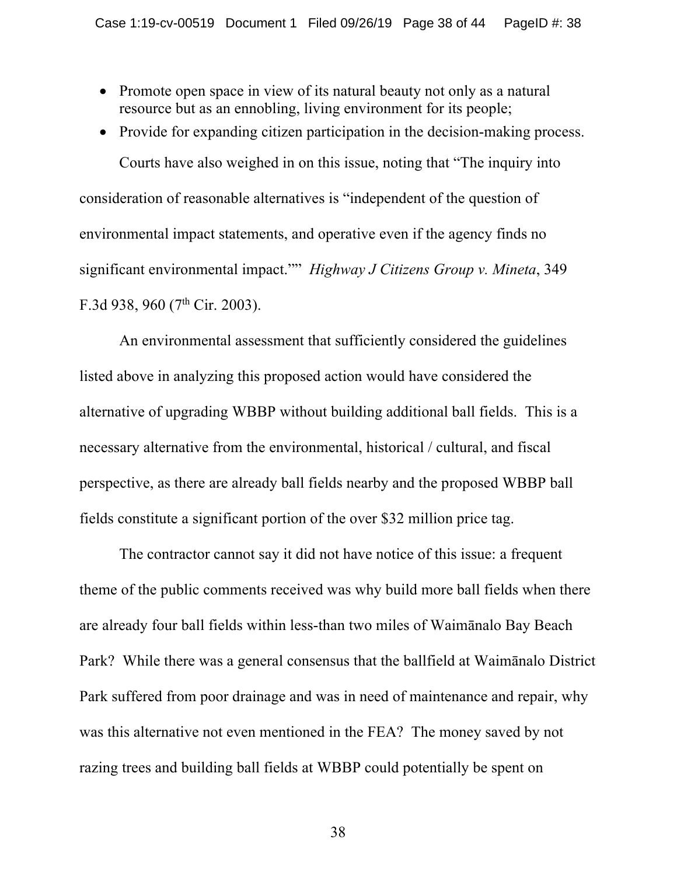- Promote open space in view of its natural beauty not only as a natural resource but as an ennobling, living environment for its people;
- Provide for expanding citizen participation in the decision-making process.

Courts have also weighed in on this issue, noting that "The inquiry into consideration of reasonable alternatives is "independent of the question of environmental impact statements, and operative even if the agency finds no significant environmental impact."" *Highway J Citizens Group v. Mineta*, 349 F.3d 938, 960 (7<sup>th</sup> Cir. 2003).

An environmental assessment that sufficiently considered the guidelines listed above in analyzing this proposed action would have considered the alternative of upgrading WBBP without building additional ball fields. This is a necessary alternative from the environmental, historical / cultural, and fiscal perspective, as there are already ball fields nearby and the proposed WBBP ball fields constitute a significant portion of the over \$32 million price tag.

The contractor cannot say it did not have notice of this issue: a frequent theme of the public comments received was why build more ball fields when there are already four ball fields within less-than two miles of Waimānalo Bay Beach Park? While there was a general consensus that the ballfield at Waimānalo District Park suffered from poor drainage and was in need of maintenance and repair, why was this alternative not even mentioned in the FEA? The money saved by not razing trees and building ball fields at WBBP could potentially be spent on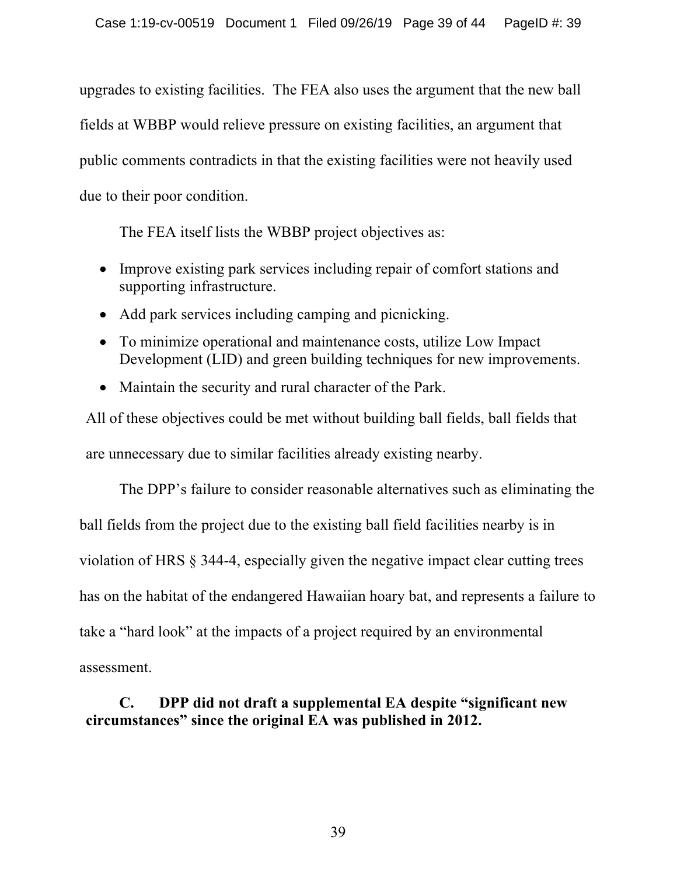upgrades to existing facilities. The FEA also uses the argument that the new ball fields at WBBP would relieve pressure on existing facilities, an argument that public comments contradicts in that the existing facilities were not heavily used due to their poor condition.

The FEA itself lists the WBBP project objectives as:

- Improve existing park services including repair of comfort stations and supporting infrastructure.
- Add park services including camping and picnicking.
- To minimize operational and maintenance costs, utilize Low Impact Development (LID) and green building techniques for new improvements.
- Maintain the security and rural character of the Park.

All of these objectives could be met without building ball fields, ball fields that are unnecessary due to similar facilities already existing nearby.

The DPP's failure to consider reasonable alternatives such as eliminating the ball fields from the project due to the existing ball field facilities nearby is in violation of HRS § 344-4, especially given the negative impact clear cutting trees has on the habitat of the endangered Hawaiian hoary bat, and represents a failure to take a "hard look" at the impacts of a project required by an environmental assessment.

# **C. DPP did not draft a supplemental EA despite "significant new circumstances" since the original EA was published in 2012.**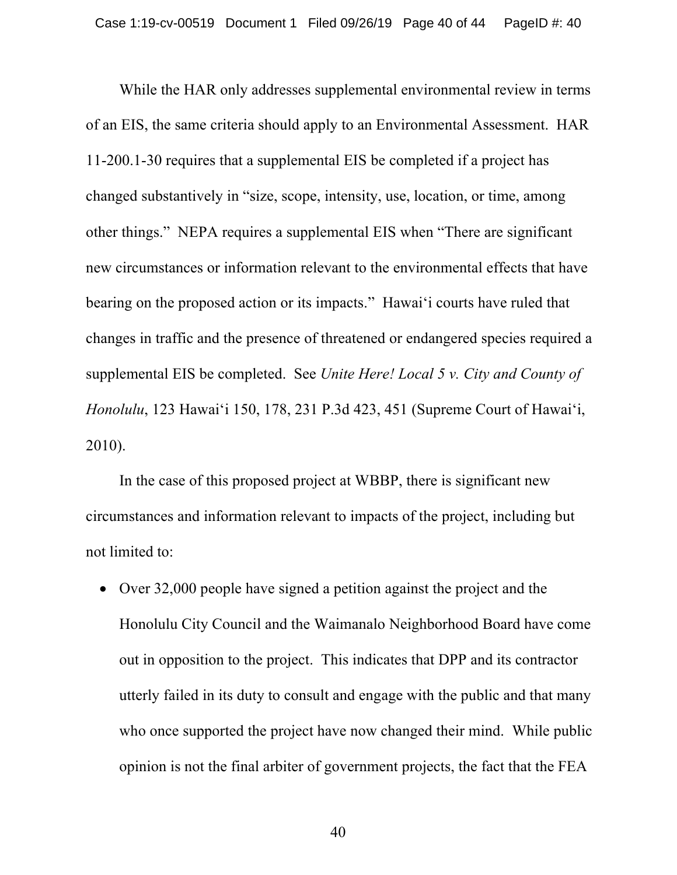While the HAR only addresses supplemental environmental review in terms of an EIS, the same criteria should apply to an Environmental Assessment. HAR 11-200.1-30 requires that a supplemental EIS be completed if a project has changed substantively in "size, scope, intensity, use, location, or time, among other things." NEPA requires a supplemental EIS when "There are significant new circumstances or information relevant to the environmental effects that have bearing on the proposed action or its impacts." Hawaiʻi courts have ruled that changes in traffic and the presence of threatened or endangered species required a supplemental EIS be completed. See *Unite Here! Local 5 v. City and County of Honolulu*, 123 Hawaiʻi 150, 178, 231 P.3d 423, 451 (Supreme Court of Hawaiʻi, 2010).

In the case of this proposed project at WBBP, there is significant new circumstances and information relevant to impacts of the project, including but not limited to:

• Over 32,000 people have signed a petition against the project and the Honolulu City Council and the Waimanalo Neighborhood Board have come out in opposition to the project. This indicates that DPP and its contractor utterly failed in its duty to consult and engage with the public and that many who once supported the project have now changed their mind. While public opinion is not the final arbiter of government projects, the fact that the FEA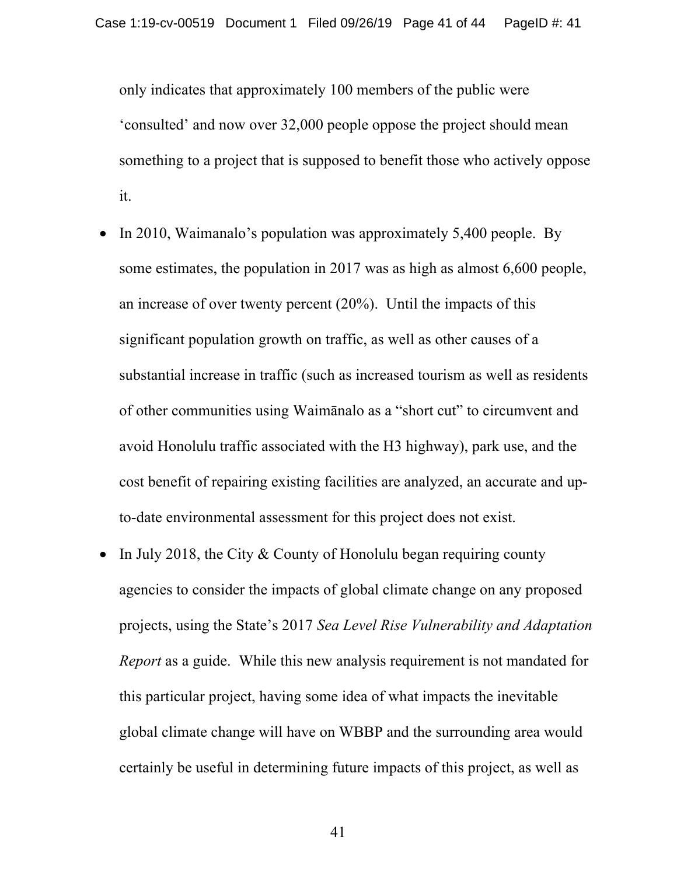only indicates that approximately 100 members of the public were 'consulted' and now over 32,000 people oppose the project should mean something to a project that is supposed to benefit those who actively oppose it.

- In 2010, Waimanalo's population was approximately 5,400 people. By some estimates, the population in 2017 was as high as almost 6,600 people, an increase of over twenty percent (20%). Until the impacts of this significant population growth on traffic, as well as other causes of a substantial increase in traffic (such as increased tourism as well as residents of other communities using Waimānalo as a "short cut" to circumvent and avoid Honolulu traffic associated with the H3 highway), park use, and the cost benefit of repairing existing facilities are analyzed, an accurate and upto-date environmental assessment for this project does not exist.
- In July 2018, the City & County of Honolulu began requiring county agencies to consider the impacts of global climate change on any proposed projects, using the State's 2017 *Sea Level Rise Vulnerability and Adaptation Report* as a guide. While this new analysis requirement is not mandated for this particular project, having some idea of what impacts the inevitable global climate change will have on WBBP and the surrounding area would certainly be useful in determining future impacts of this project, as well as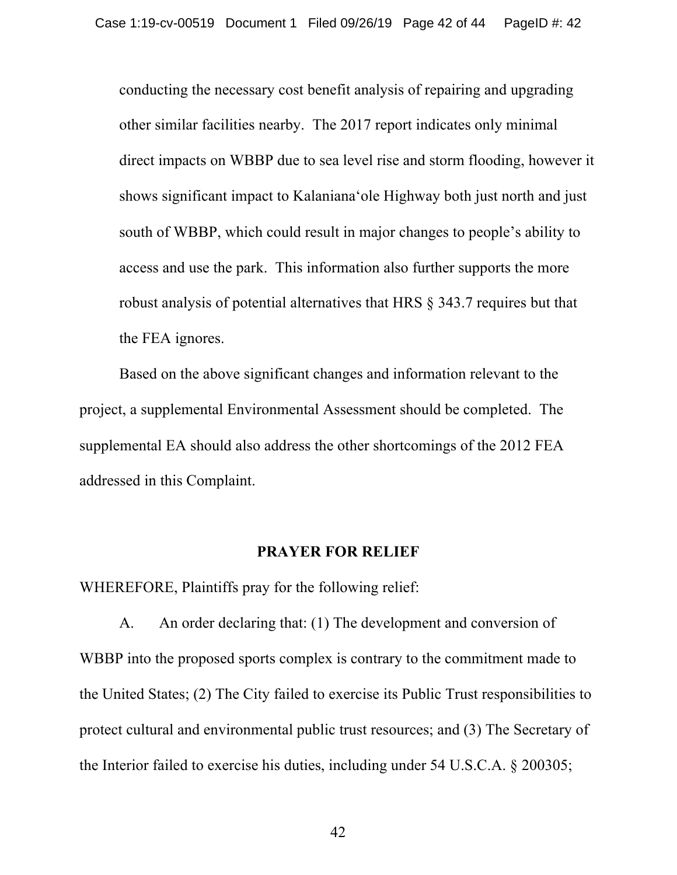conducting the necessary cost benefit analysis of repairing and upgrading other similar facilities nearby. The 2017 report indicates only minimal direct impacts on WBBP due to sea level rise and storm flooding, however it shows significant impact to Kalanianaʻole Highway both just north and just south of WBBP, which could result in major changes to people's ability to access and use the park. This information also further supports the more robust analysis of potential alternatives that HRS § 343.7 requires but that the FEA ignores.

Based on the above significant changes and information relevant to the project, a supplemental Environmental Assessment should be completed. The supplemental EA should also address the other shortcomings of the 2012 FEA addressed in this Complaint.

#### **PRAYER FOR RELIEF**

WHEREFORE, Plaintiffs pray for the following relief:

A. An order declaring that: (1) The development and conversion of WBBP into the proposed sports complex is contrary to the commitment made to the United States; (2) The City failed to exercise its Public Trust responsibilities to protect cultural and environmental public trust resources; and (3) The Secretary of the Interior failed to exercise his duties, including under 54 U.S.C.A. § 200305;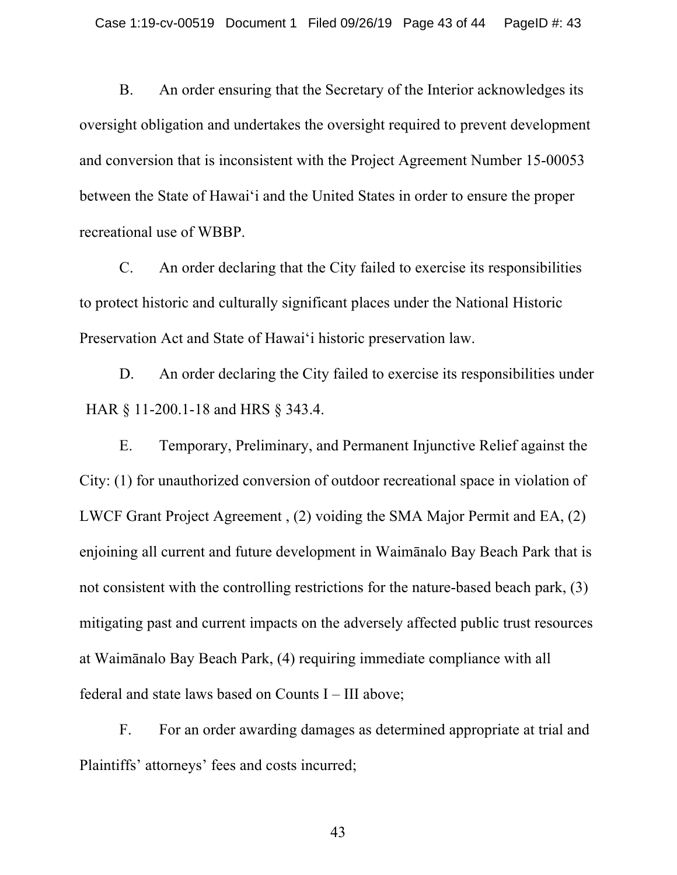B. An order ensuring that the Secretary of the Interior acknowledges its oversight obligation and undertakes the oversight required to prevent development and conversion that is inconsistent with the Project Agreement Number 15-00053 between the State of Hawai'i and the United States in order to ensure the proper recreational use of WBBP.

C. An order declaring that the City failed to exercise its responsibilities to protect historic and culturally significant places under the National Historic Preservation Act and State of Hawai'i historic preservation law.

D. An order declaring the City failed to exercise its responsibilities under HAR § 11-200.1-18 and HRS § 343.4.

E. Temporary, Preliminary, and Permanent Injunctive Relief against the City: (1) for unauthorized conversion of outdoor recreational space in violation of LWCF Grant Project Agreement , (2) voiding the SMA Major Permit and EA, (2) enjoining all current and future development in Waimānalo Bay Beach Park that is not consistent with the controlling restrictions for the nature-based beach park, (3) mitigating past and current impacts on the adversely affected public trust resources at Waimānalo Bay Beach Park, (4) requiring immediate compliance with all federal and state laws based on Counts I – III above;

F. For an order awarding damages as determined appropriate at trial and Plaintiffs' attorneys' fees and costs incurred;